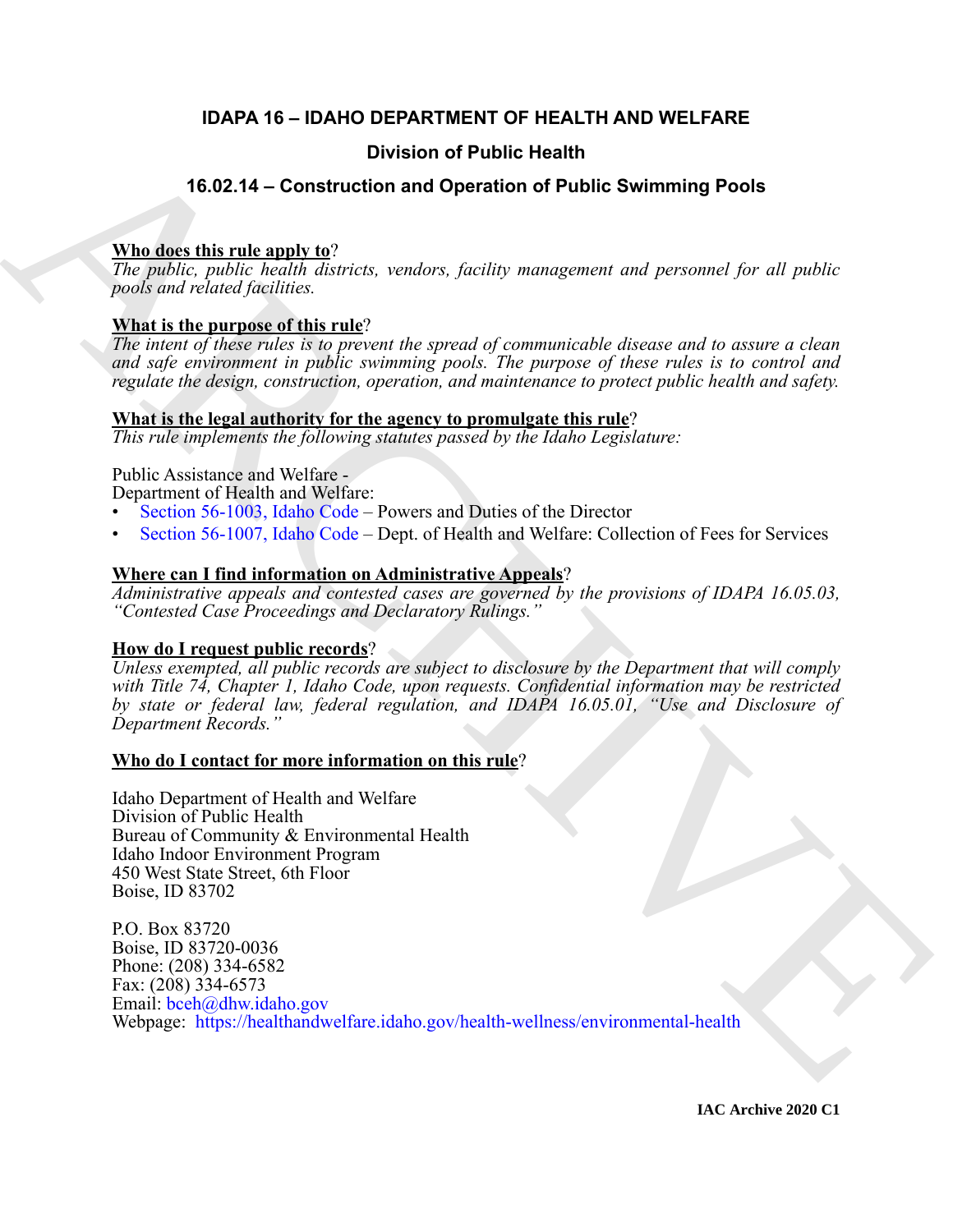# **IDAPA 16 – IDAHO DEPARTMENT OF HEALTH AND WELFARE**

# **Division of Public Health**

# **16.02.14 – Construction and Operation of Public Swimming Pools**

# **Who does this rule apply to**?

*The public, public health districts, vendors, facility management and personnel for all public pools and related facilities.*

# **What is the purpose of this rule**?

*The intent of these rules is to prevent the spread of communicable disease and to assure a clean and safe environment in public swimming pools. The purpose of these rules is to control and regulate the design, construction, operation, and maintenance to protect public health and safety.*

### **What is the legal authority for the agency to promulgate this rule**?

*This rule implements the following statutes passed by the Idaho Legislature:*

# Public Assistance and Welfare -

Department of Health and Welfare:

- Section 56-1003, Idaho Code Powers and Duties of the Director
- Section 56-1007, Idaho Code Dept. of Health and Welfare: Collection of Fees for Services

# **Where can I find information on Administrative Appeals**?

*Administrative appeals and contested cases are governed by the provisions of IDAPA 16.05.03, "Contested Case Proceedings and Declaratory Rulings."*

# **How do I request public records**?

*Unless exempted, all public records are subject to disclosure by the Department that will comply with Title 74, Chapter 1, Idaho Code, upon requests. Confidential information may be restricted by state or federal law, federal regulation, and IDAPA 16.05.01, "Use and Disclosure of Department Records."*

### **Who do I contact for more information on this rule**?

Idaho Department of Health and Welfare Division of Public Health Bureau of Community & Environmental Health Idaho Indoor Environment Program 450 West State Street, 6th Floor Boise, ID 83702

**Division of Public Health**<br> **A[R](https://legislature.idaho.gov/statutesrules/idstat/Title56/T56CH10/SECT56-1003/)[C](https://legislature.idaho.gov/statutesrules/idstat/Title56/T56CH10/SECT56-1007/)HIV[E](https://healthandwelfare.idaho.gov/health-wellness/environmental-health) Sydmant problem and Operation of Public Swimming Pools**<br> **The gablic, gablic health divirals**, tender, facility management and personnel for all public<br> **Photon spin and health divira** P.O. Box 83720 Boise, ID 83720-0036 Phone: (208) 334-6582 Fax: (208) 334-6573 Email: bceh@dhw.idaho.gov Webpage: https://healthandwelfare.idaho.gov/health-wellness/environmental-health

**IAC Archive 2020 C1**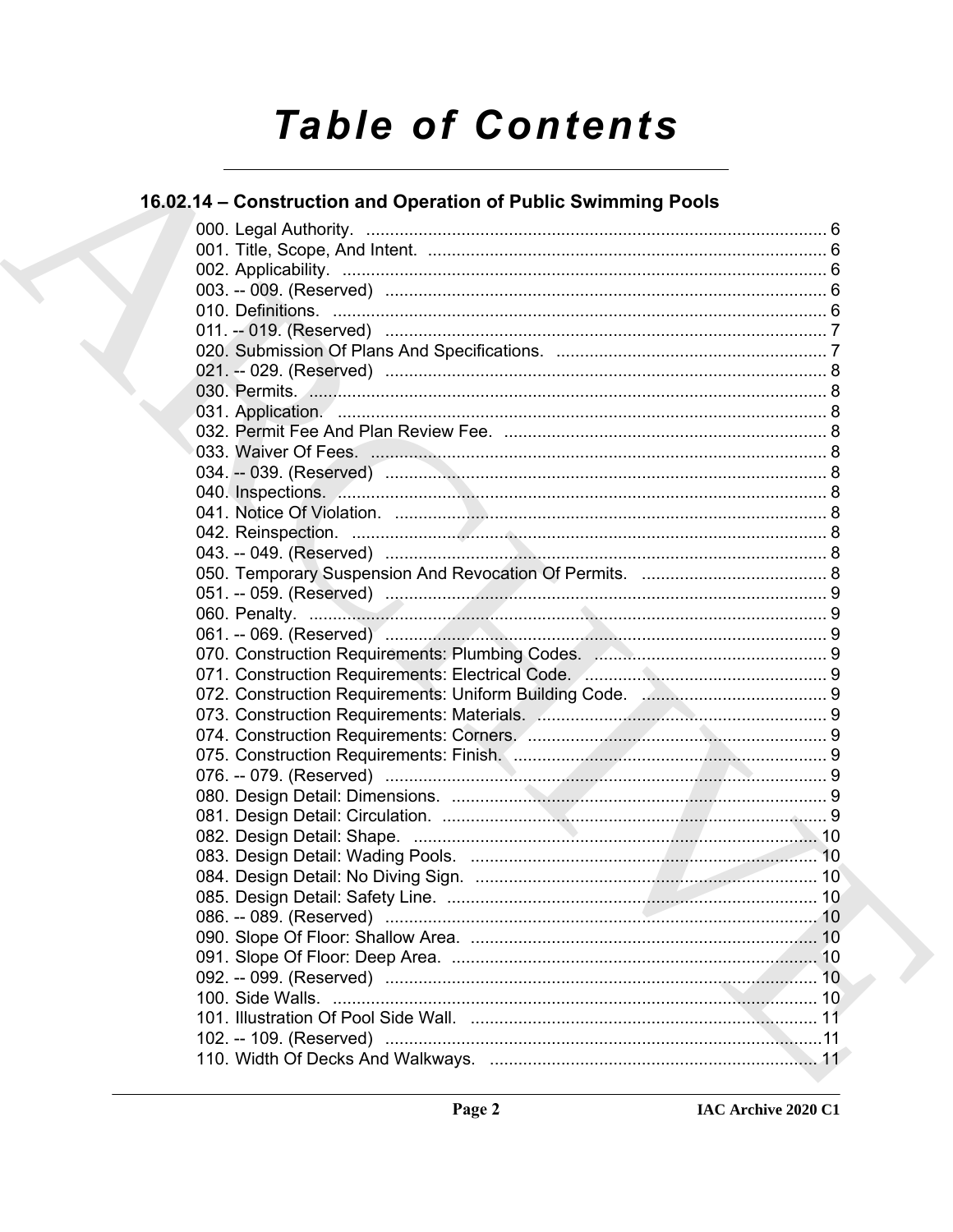# **Table of Contents**

# 16.02.14 - Construction and Operation of Public Swimming Pools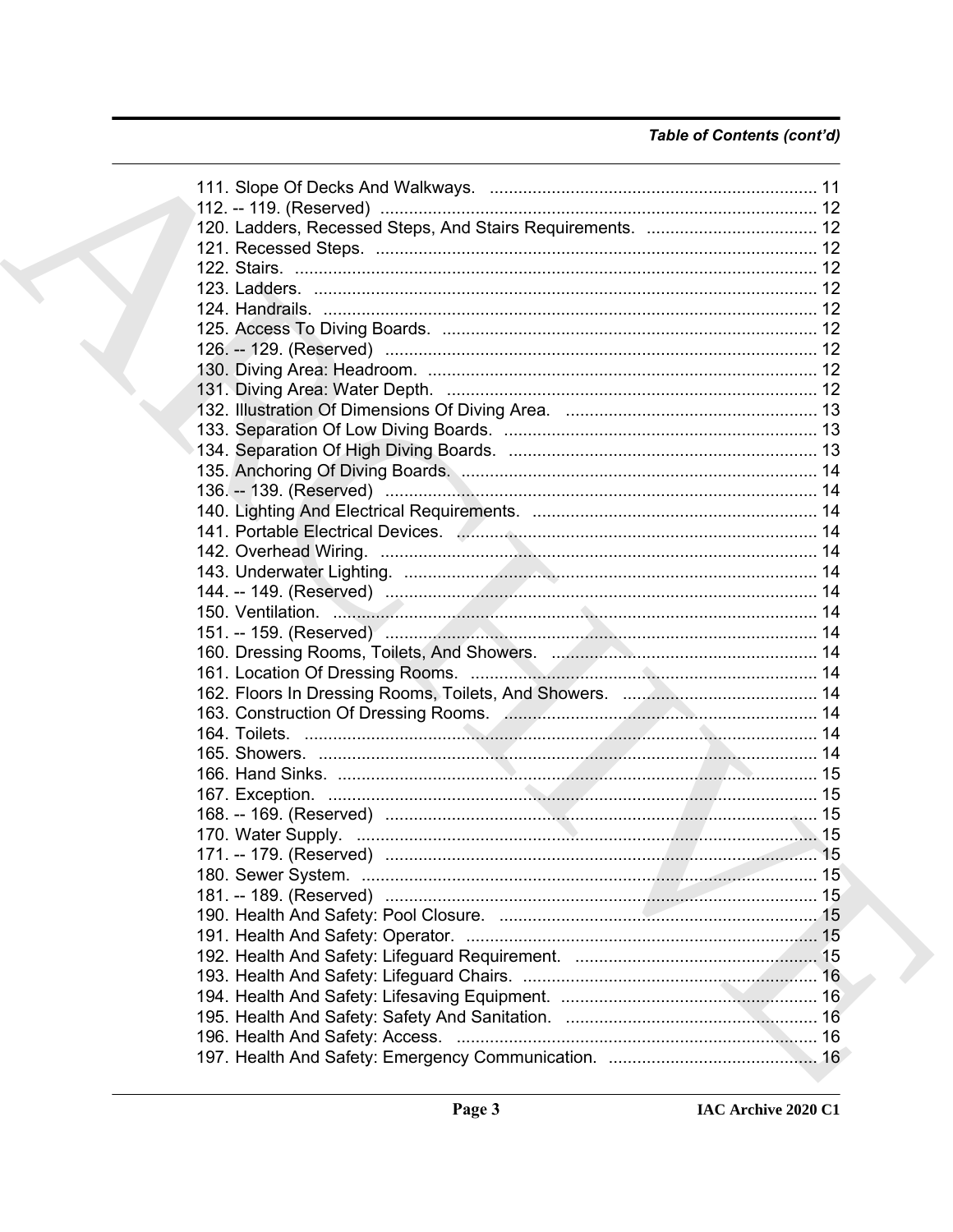# Table of Contents (cont'd)

|  | 150. Ventilation. 2008. 2009. 2009. 2009. 2010. 2010. 2010. 2010. 2010. 2010. 2010. 2010. 2010. 2010. 2010. 20 |  |
|--|----------------------------------------------------------------------------------------------------------------|--|
|  |                                                                                                                |  |
|  |                                                                                                                |  |
|  |                                                                                                                |  |
|  |                                                                                                                |  |
|  |                                                                                                                |  |
|  |                                                                                                                |  |
|  |                                                                                                                |  |
|  |                                                                                                                |  |
|  |                                                                                                                |  |
|  |                                                                                                                |  |
|  |                                                                                                                |  |
|  |                                                                                                                |  |
|  |                                                                                                                |  |
|  |                                                                                                                |  |
|  |                                                                                                                |  |
|  |                                                                                                                |  |
|  |                                                                                                                |  |
|  |                                                                                                                |  |
|  |                                                                                                                |  |
|  |                                                                                                                |  |
|  |                                                                                                                |  |
|  |                                                                                                                |  |
|  |                                                                                                                |  |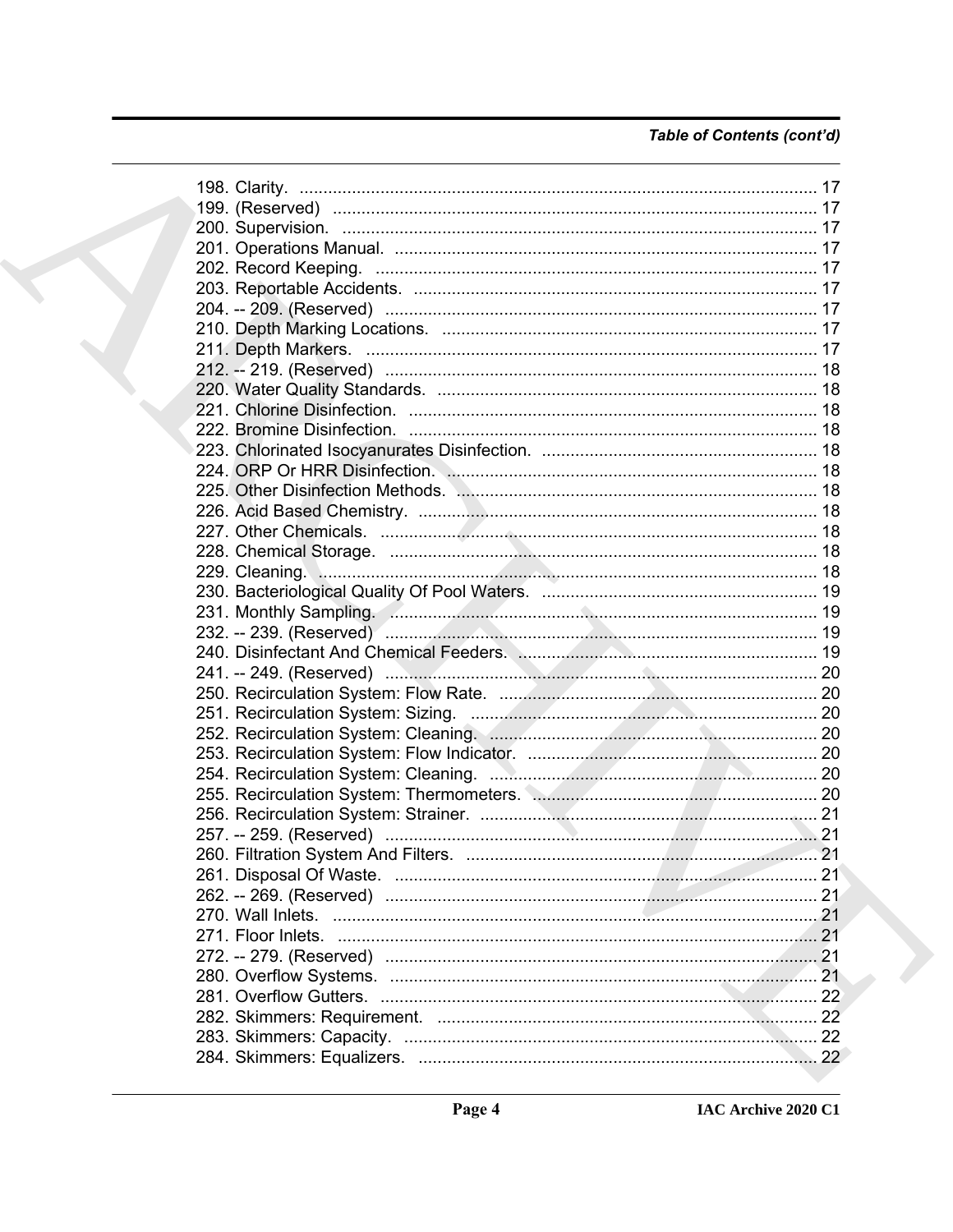# Table of Contents (cont'd)

| 199. (Reserved) …………………………………………………………………………………… 17                  |  |
|----------------------------------------------------------------------|--|
|                                                                      |  |
|                                                                      |  |
|                                                                      |  |
|                                                                      |  |
|                                                                      |  |
|                                                                      |  |
|                                                                      |  |
|                                                                      |  |
|                                                                      |  |
|                                                                      |  |
|                                                                      |  |
|                                                                      |  |
|                                                                      |  |
|                                                                      |  |
|                                                                      |  |
|                                                                      |  |
|                                                                      |  |
|                                                                      |  |
|                                                                      |  |
|                                                                      |  |
|                                                                      |  |
|                                                                      |  |
| 240. Disinfectant And Chemical Feeders. Manuscription Manuscritt, 19 |  |
|                                                                      |  |
|                                                                      |  |
|                                                                      |  |
|                                                                      |  |
|                                                                      |  |
|                                                                      |  |
|                                                                      |  |
|                                                                      |  |
|                                                                      |  |
|                                                                      |  |
|                                                                      |  |
|                                                                      |  |
|                                                                      |  |
|                                                                      |  |
|                                                                      |  |
|                                                                      |  |
|                                                                      |  |
|                                                                      |  |
|                                                                      |  |
|                                                                      |  |
|                                                                      |  |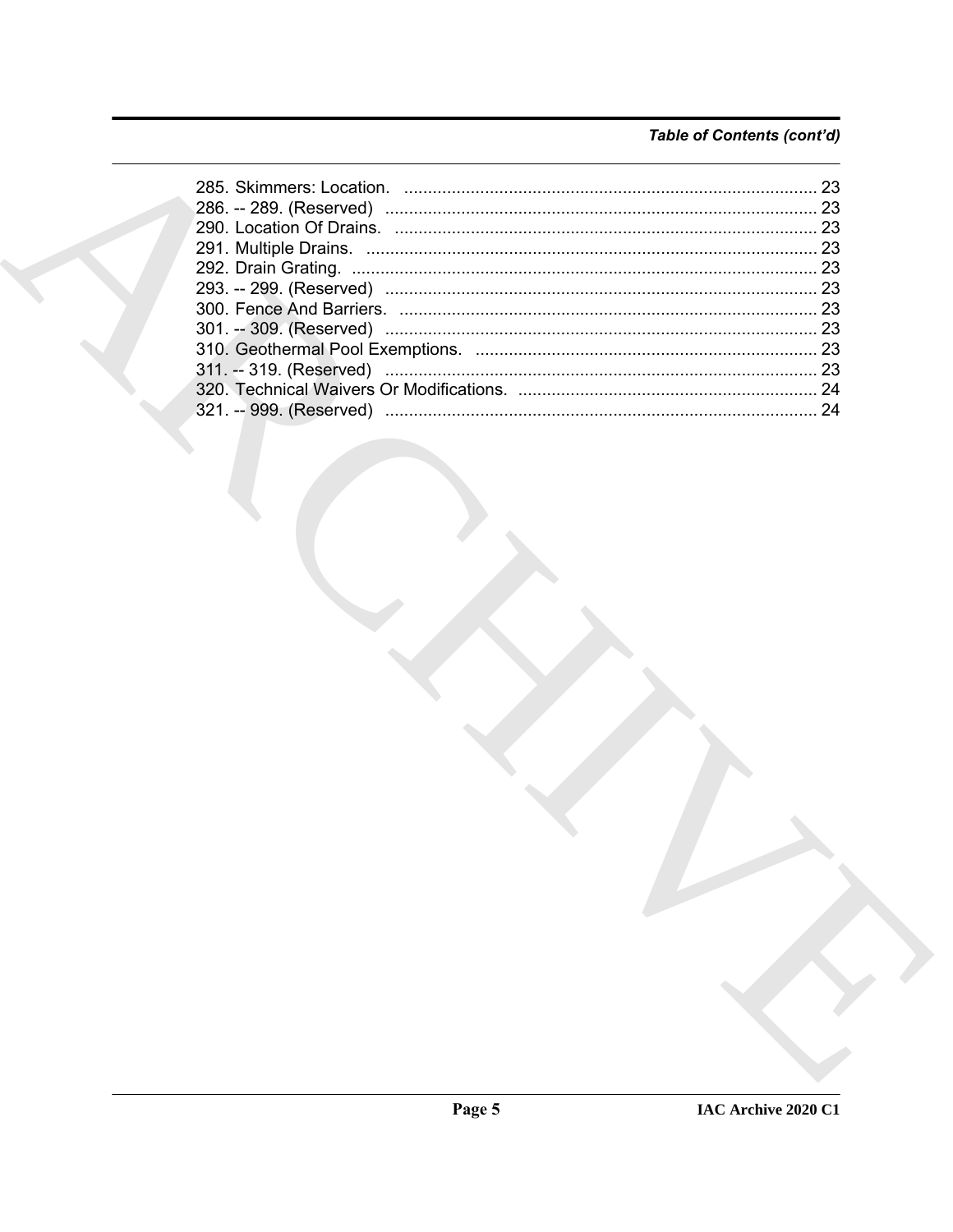# Table of Contents (cont'd)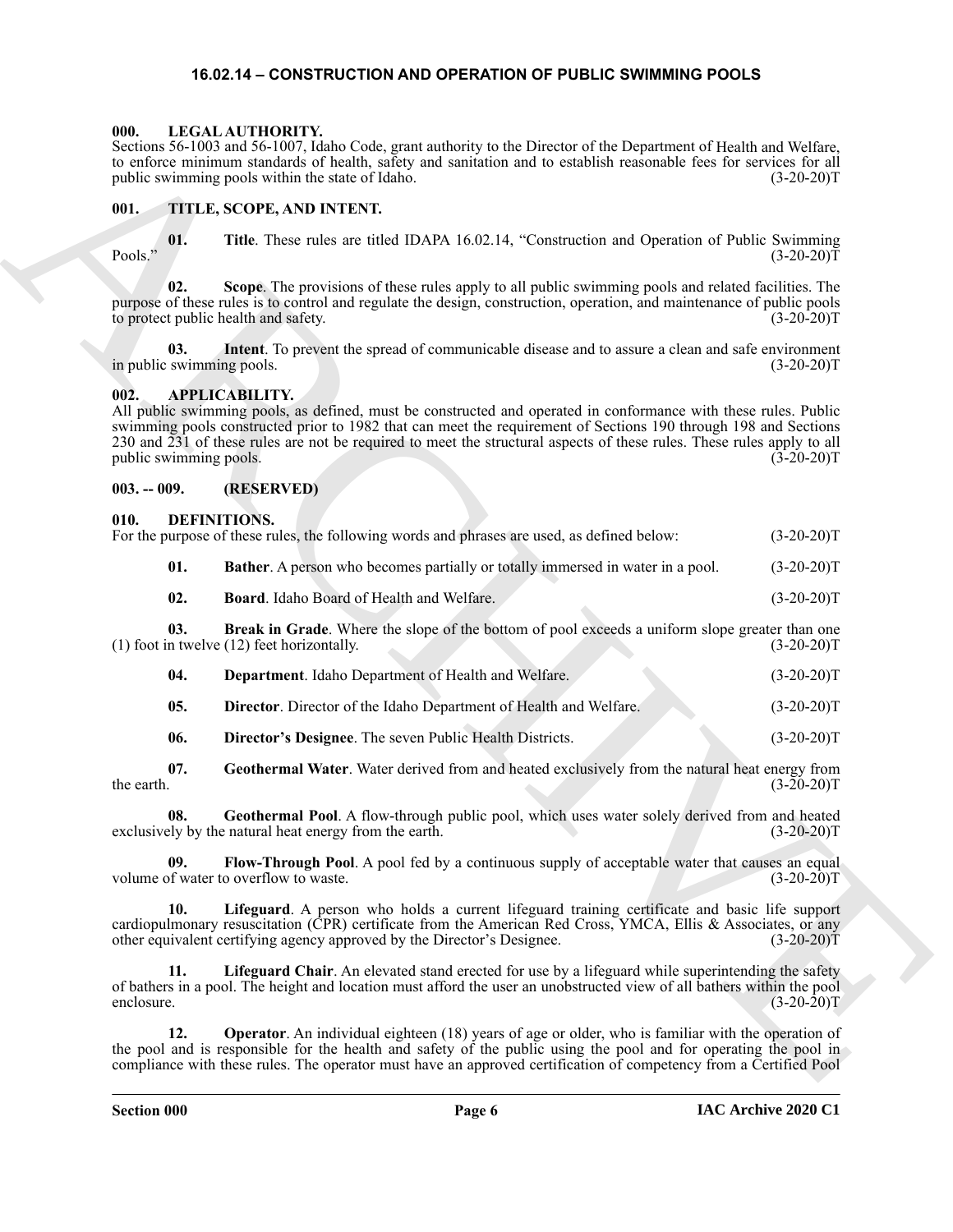#### <span id="page-5-20"></span>**16.02.14 – CONSTRUCTION AND OPERATION OF PUBLIC SWIMMING POOLS**

#### <span id="page-5-1"></span><span id="page-5-0"></span>**000. LEGAL AUTHORITY.**

#### <span id="page-5-21"></span><span id="page-5-2"></span>**001. TITLE, SCOPE, AND INTENT.**

#### <span id="page-5-6"></span><span id="page-5-3"></span>**002. APPLICABILITY.**

#### <span id="page-5-4"></span>**003. -- 009. (RESERVED)**

#### <span id="page-5-8"></span><span id="page-5-7"></span><span id="page-5-5"></span>**010. DEFINITIONS.**

|                                  | Sections 56-1003 and 56-1007, Idaho Code, grant authority to the Director of the Department of Health and Welfare,<br>to enforce minimum standards of health, safety and sanitation and to establish reasonable fees for services for all<br>public swimming pools within the state of Idaho.                                                                                         | $(3-20-20)T$                                                                                                                                                                                                                 |
|----------------------------------|---------------------------------------------------------------------------------------------------------------------------------------------------------------------------------------------------------------------------------------------------------------------------------------------------------------------------------------------------------------------------------------|------------------------------------------------------------------------------------------------------------------------------------------------------------------------------------------------------------------------------|
| 001.                             | TITLE, SCOPE, AND INTENT.                                                                                                                                                                                                                                                                                                                                                             |                                                                                                                                                                                                                              |
| 01.<br>Pools."                   | Title. These rules are titled IDAPA 16.02.14, "Construction and Operation of Public Swimming                                                                                                                                                                                                                                                                                          | $(3-20-20)T$<br>$(3-20-20)T$<br>$(3-20-20)T$<br>$(3-20-20)T$<br>$(3-20-20)T$<br>$(3-20-20)T$<br>$(3-20-20)T$<br>$(3-20-20)T$<br>$(3-20-20)T$<br>$(3-20-20)T$<br>$(3-20-20)T$<br>$(3-20-20)T$<br>$(3-20-20)T$<br>$(3-20-20)T$ |
| 02.                              | Scope. The provisions of these rules apply to all public swimming pools and related facilities. The<br>purpose of these rules is to control and regulate the design, construction, operation, and maintenance of public pools<br>to protect public health and safety.                                                                                                                 |                                                                                                                                                                                                                              |
| 03.<br>in public swimming pools. | Intent. To prevent the spread of communicable disease and to assure a clean and safe environment                                                                                                                                                                                                                                                                                      |                                                                                                                                                                                                                              |
| 002.<br>public swimming pools.   | <b>APPLICABILITY.</b><br>All public swimming pools, as defined, must be constructed and operated in conformance with these rules. Public<br>swimming pools constructed prior to 1982 that can meet the requirement of Sections 190 through 198 and Sections<br>230 and 231 of these rules are not be required to meet the structural aspects of these rules. These rules apply to all |                                                                                                                                                                                                                              |
| $003. - 009.$                    | (RESERVED)                                                                                                                                                                                                                                                                                                                                                                            |                                                                                                                                                                                                                              |
| 010.                             | DEFINITIONS.<br>For the purpose of these rules, the following words and phrases are used, as defined below:                                                                                                                                                                                                                                                                           |                                                                                                                                                                                                                              |
| 01.                              | <b>Bather.</b> A person who becomes partially or totally immersed in water in a pool.                                                                                                                                                                                                                                                                                                 |                                                                                                                                                                                                                              |
| 02.                              | Board. Idaho Board of Health and Welfare.                                                                                                                                                                                                                                                                                                                                             |                                                                                                                                                                                                                              |
| 03.                              | Break in Grade. Where the slope of the bottom of pool exceeds a uniform slope greater than one<br>$(1)$ foot in twelve $(12)$ feet horizontally.                                                                                                                                                                                                                                      |                                                                                                                                                                                                                              |
| 04.                              | Department. Idaho Department of Health and Welfare.                                                                                                                                                                                                                                                                                                                                   |                                                                                                                                                                                                                              |
| 05.                              | Director. Director of the Idaho Department of Health and Welfare.                                                                                                                                                                                                                                                                                                                     |                                                                                                                                                                                                                              |
| 06.                              | Director's Designee. The seven Public Health Districts.                                                                                                                                                                                                                                                                                                                               |                                                                                                                                                                                                                              |
| 07.<br>the earth.                | Geothermal Water. Water derived from and heated exclusively from the natural heat energy from                                                                                                                                                                                                                                                                                         |                                                                                                                                                                                                                              |
| 08.                              | Geothermal Pool. A flow-through public pool, which uses water solely derived from and heated<br>exclusively by the natural heat energy from the earth.                                                                                                                                                                                                                                |                                                                                                                                                                                                                              |
| 09.                              | Flow-Through Pool. A pool fed by a continuous supply of acceptable water that causes an equal<br>volume of water to overflow to waste.                                                                                                                                                                                                                                                |                                                                                                                                                                                                                              |
| 10.                              | Lifeguard. A person who holds a current lifeguard training certificate and basic life support<br>cardiopulmonary resuscitation (CPR) certificate from the American Red Cross, YMCA, Ellis & Associates, or any<br>other equivalent certifying agency approved by the Director's Designee.                                                                                             | $(3-20-20)T$                                                                                                                                                                                                                 |
| 11.<br>enclosure.                | Lifeguard Chair. An elevated stand erected for use by a lifeguard while superintending the safety<br>of bathers in a pool. The height and location must afford the user an unobstructed view of all bathers within the pool                                                                                                                                                           | $(3-20-20)T$                                                                                                                                                                                                                 |
| 12.                              | <b>Operator</b> . An individual eighteen (18) years of age or older, who is familiar with the operation of<br>the pool and is responsible for the health and safety of the public using the pool and for operating the pool in<br>compliance with these rules. The operator must have an approved certification of competency from a Certified Pool                                   |                                                                                                                                                                                                                              |
|                                  |                                                                                                                                                                                                                                                                                                                                                                                       |                                                                                                                                                                                                                              |

<span id="page-5-19"></span><span id="page-5-18"></span><span id="page-5-17"></span><span id="page-5-16"></span><span id="page-5-15"></span><span id="page-5-14"></span><span id="page-5-13"></span><span id="page-5-12"></span><span id="page-5-11"></span><span id="page-5-10"></span><span id="page-5-9"></span>

| <b>Department.</b> Idaho Department of Health and Welfare.<br>-04. | $(3-20-20)T$ |
|--------------------------------------------------------------------|--------------|
|--------------------------------------------------------------------|--------------|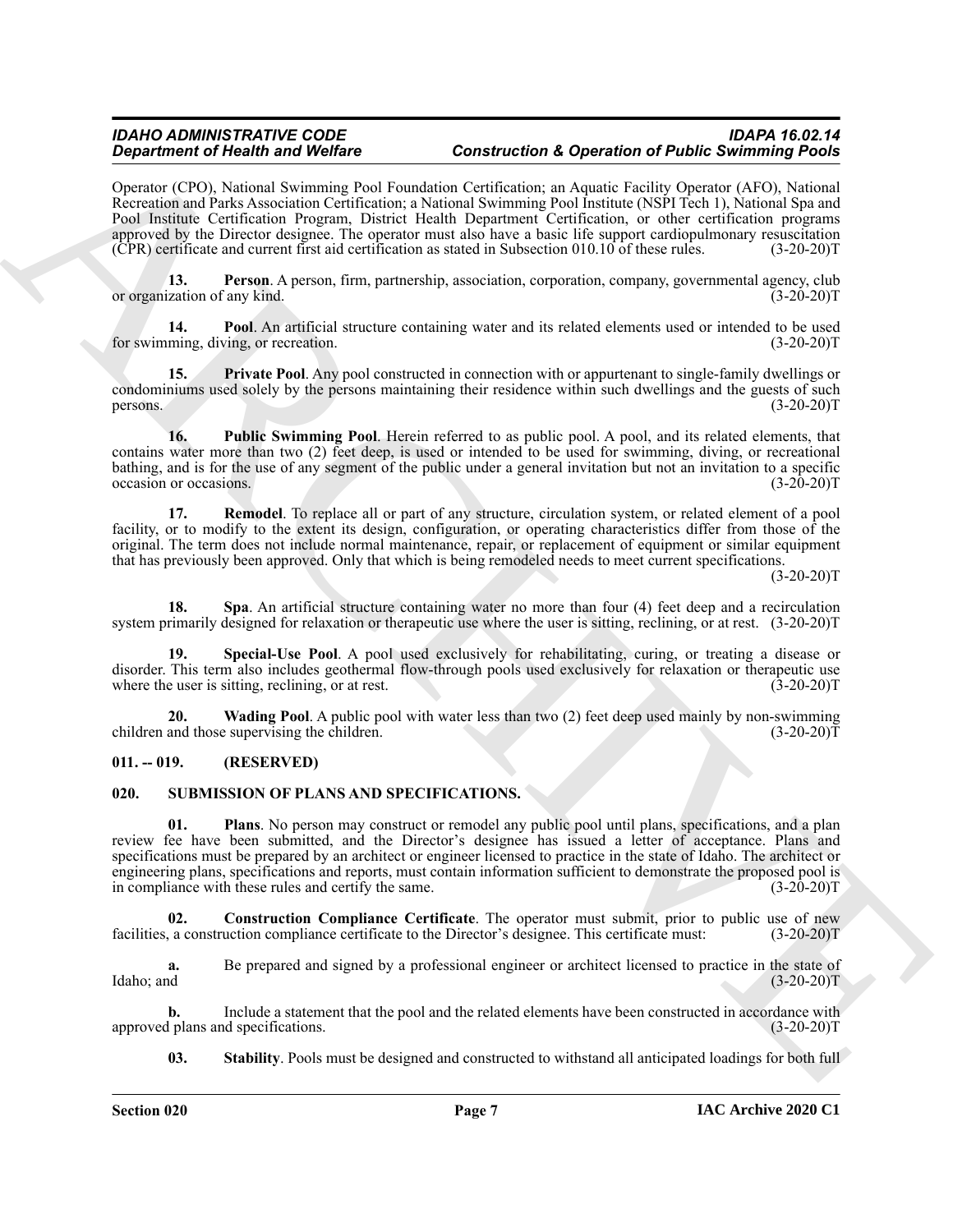Operator (CPO), National Swimming Pool Foundation Certification; an Aquatic Facility Operator (AFO), National Recreation and Parks Association Certification; a National Swimming Pool Institute (NSPI Tech 1), National Spa and Pool Institute Certification Program, District Health Department Certification, or other certification programs approved by the Director designee. The operator must also have a basic life support cardiopulmonary resuscitation (CPR) certificate and current first aid certification as stated in Subsection 010.10 of these rules. (3-20-20)T

<span id="page-6-2"></span>**13. Person**. A person, firm, partnership, association, corporation, company, governmental agency, club ization of any kind. (3-20-20) or organization of any kind.

<span id="page-6-3"></span>**14. Pool**. An artificial structure containing water and its related elements used or intended to be used ming, diving, or recreation. (3-20-20) for swimming, diving, or recreation.

<span id="page-6-4"></span>**15. Private Pool**. Any pool constructed in connection with or appurtenant to single-family dwellings or condominiums used solely by the persons maintaining their residence within such dwellings and the guests of such persons.  $(3-20-20)T$ 

<span id="page-6-5"></span>**16. Public Swimming Pool**. Herein referred to as public pool. A pool, and its related elements, that contains water more than two (2) feet deep, is used or intended to be used for swimming, diving, or recreational bathing, and is for the use of any segment of the public under a general invitation but not an invitation to a specific occasion or occasions. (3-20-20) occasion or occasions.

<span id="page-6-6"></span>**17. Remodel**. To replace all or part of any structure, circulation system, or related element of a pool facility, or to modify to the extent its design, configuration, or operating characteristics differ from those of the original. The term does not include normal maintenance, repair, or replacement of equipment or similar equipment that has previously been approved. Only that which is being remodeled needs to meet current specifications.

 $(3-20-20)T$ 

<span id="page-6-7"></span>**18. Spa**. An artificial structure containing water no more than four (4) feet deep and a recirculation system primarily designed for relaxation or therapeutic use where the user is sitting, reclining, or at rest. (3-20-20)T

<span id="page-6-8"></span>**19. Special-Use Pool**. A pool used exclusively for rehabilitating, curing, or treating a disease or disorder. This term also includes geothermal flow-through pools used exclusively for relaxation or therapeutic use where the user is sitting, reclining, or at rest. (3-20-20)T

<span id="page-6-9"></span>**20. Wading Pool**. A public pool with water less than two (2) feet deep used mainly by non-swimming children and those supervising the children. (3-20-20)T

#### <span id="page-6-0"></span>**011. -- 019. (RESERVED)**

#### <span id="page-6-12"></span><span id="page-6-10"></span><span id="page-6-1"></span>**020. SUBMISSION OF PLANS AND SPECIFICATIONS.**

**Strainer of Hostin and Wolfers** Construction Constrainer Constrainer Constrainer (Section 2002)<br>
Cynemic Section 2003). Newton Section 2003 (Section 2003). The specific of the specific of the specific of the specific of **01. Plans**. No person may construct or remodel any public pool until plans, specifications, and a plan review fee have been submitted, and the Director's designee has issued a letter of acceptance. Plans and specifications must be prepared by an architect or engineer licensed to practice in the state of Idaho. The architect or engineering plans, specifications and reports, must contain information sufficient to demonstrate the proposed pool is<br>in compliance with these rules and certify the same. (3-20-20) in compliance with these rules and certify the same.

<span id="page-6-11"></span>**Construction Compliance Certificate**. The operator must submit, prior to public use of new uction compliance certificate to the Director's designee. This certificate must: (3-20-20)T facilities, a construction compliance certificate to the Director's designee. This certificate must:

**a.** Be prepared and signed by a professional engineer or architect licensed to practice in the state of  $\text{Idaho}$ ; and  $(3-20-20)$ T

**b.** Include a statement that the pool and the related elements have been constructed in accordance with plans and specifications. (3-20-20) approved plans and specifications.

<span id="page-6-13"></span>**03. Stability**. Pools must be designed and constructed to withstand all anticipated loadings for both full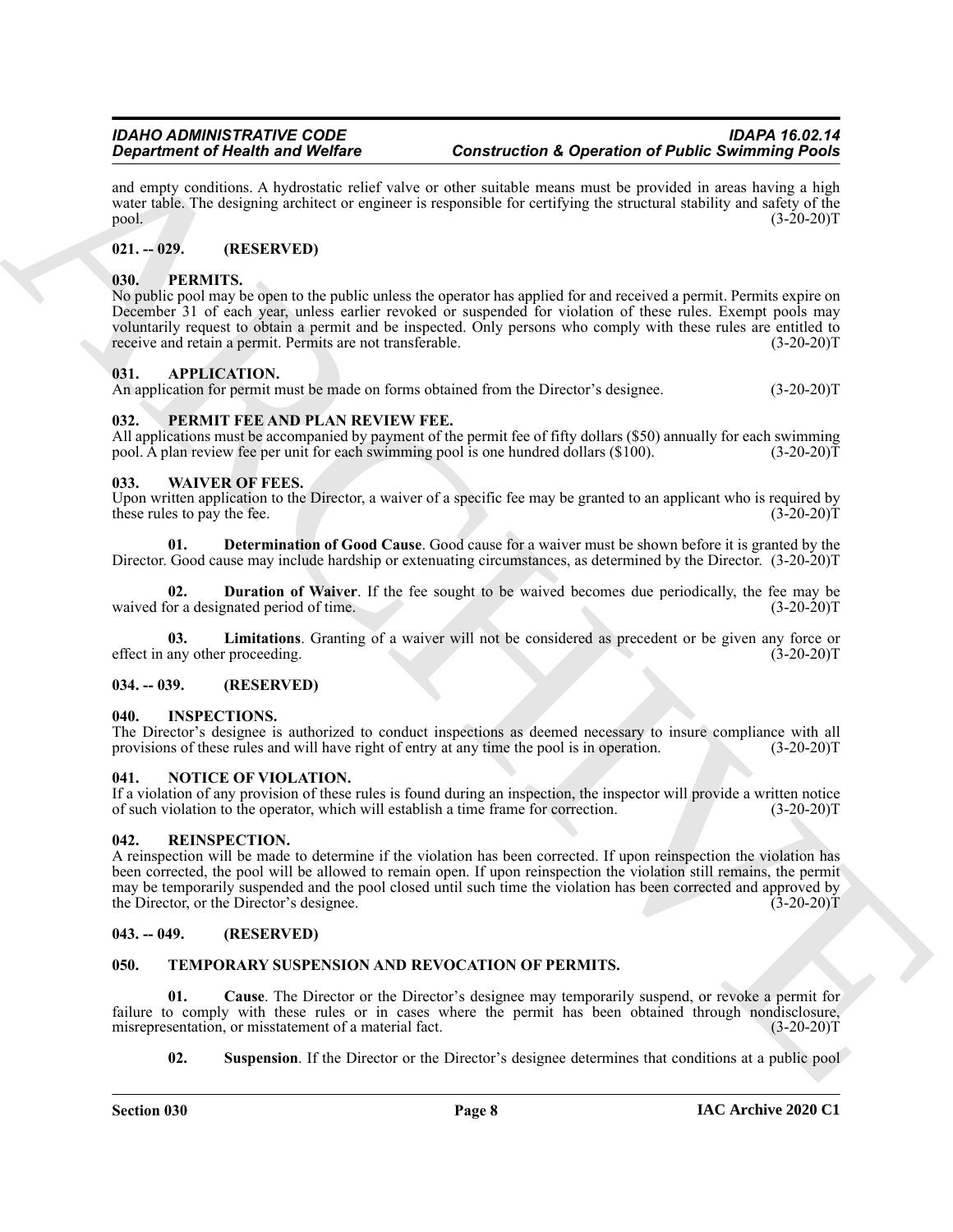and empty conditions. A hydrostatic relief valve or other suitable means must be provided in areas having a high water table. The designing architect or engineer is responsible for certifying the structural stability and safety of the pool.  $(3-20-20)T$ 

### <span id="page-7-0"></span>**021. -- 029. (RESERVED)**

#### <span id="page-7-15"></span><span id="page-7-1"></span>**030. PERMITS.**

No public pool may be open to the public unless the operator has applied for and received a permit. Permits expire on December 31 of each year, unless earlier revoked or suspended for violation of these rules. Exempt pools may voluntarily request to obtain a permit and be inspected. Only persons who comply with these rules are entitled to receive and retain a permit. Permits are not transferable. (3-20-20)T

#### <span id="page-7-11"></span><span id="page-7-2"></span>**031. APPLICATION.**

An application for permit must be made on forms obtained from the Director's designee. (3-20-20)T

#### <span id="page-7-14"></span><span id="page-7-3"></span>**032. PERMIT FEE AND PLAN REVIEW FEE.**

All applications must be accompanied by payment of the permit fee of fifty dollars (\$50) annually for each swimming pool. A plan review fee per unit for each swimming pool is one hundred dollars (\$100). (3-20-20) T

#### <span id="page-7-20"></span><span id="page-7-4"></span>**033. WAIVER OF FEES.**

Upon written application to the Director, a waiver of a specific fee may be granted to an applicant who is required by these rules to pay the fee. (3-20-20) these rules to pay the fee.

<span id="page-7-21"></span>**01. Determination of Good Cause**. Good cause for a waiver must be shown before it is granted by the Director. Good cause may include hardship or extenuating circumstances, as determined by the Director. (3-20-20)T

<span id="page-7-22"></span>**02. Duration of Waiver**. If the fee sought to be waived becomes due periodically, the fee may be or a designated period of time. (3-20-20) waived for a designated period of time.

<span id="page-7-23"></span>**03.** Limitations. Granting of a waiver will not be considered as precedent or be given any force or any other proceeding. (3-20-20) effect in any other proceeding.

#### <span id="page-7-5"></span>**034. -- 039. (RESERVED)**

#### <span id="page-7-12"></span><span id="page-7-6"></span>**040. INSPECTIONS.**

The Director's designee is authorized to conduct inspections as deemed necessary to insure compliance with all provisions of these rules and will have right of entry at any time the pool is in operation. (3-20-20)T

#### <span id="page-7-13"></span><span id="page-7-7"></span>**041. NOTICE OF VIOLATION.**

If a violation of any provision of these rules is found during an inspection, the inspector will provide a written notice of such violation to the operator, which will establish a time frame for correction. (3-20-20)T

#### <span id="page-7-16"></span><span id="page-7-8"></span>**042. REINSPECTION.**

**Experiment of New York Distribution**<br> **Constrainted The Constraint Constraint Constraint Constraint Constraint Constraint Constraint Constraint Constraint Constraint Constraint Constraint Constraint Constraint Constraint** A reinspection will be made to determine if the violation has been corrected. If upon reinspection the violation has been corrected, the pool will be allowed to remain open. If upon reinspection the violation still remains, the permit may be temporarily suspended and the pool closed until such time the violation has been corrected and approved by the Director, or the Director's designee. (3-20-20)T

#### <span id="page-7-9"></span>**043. -- 049. (RESERVED)**

#### <span id="page-7-17"></span><span id="page-7-10"></span>**050. TEMPORARY SUSPENSION AND REVOCATION OF PERMITS.**

**01. Cause**. The Director or the Director's designee may temporarily suspend, or revoke a permit for failure to comply with these rules or in cases where the permit has been obtained through nondisclosure, misrepresentation, or misstatement of a material fact. (3-20-20) misrepresentation, or misstatement of a material fact.

<span id="page-7-19"></span><span id="page-7-18"></span>**02.** Suspension. If the Director or the Director's designee determines that conditions at a public pool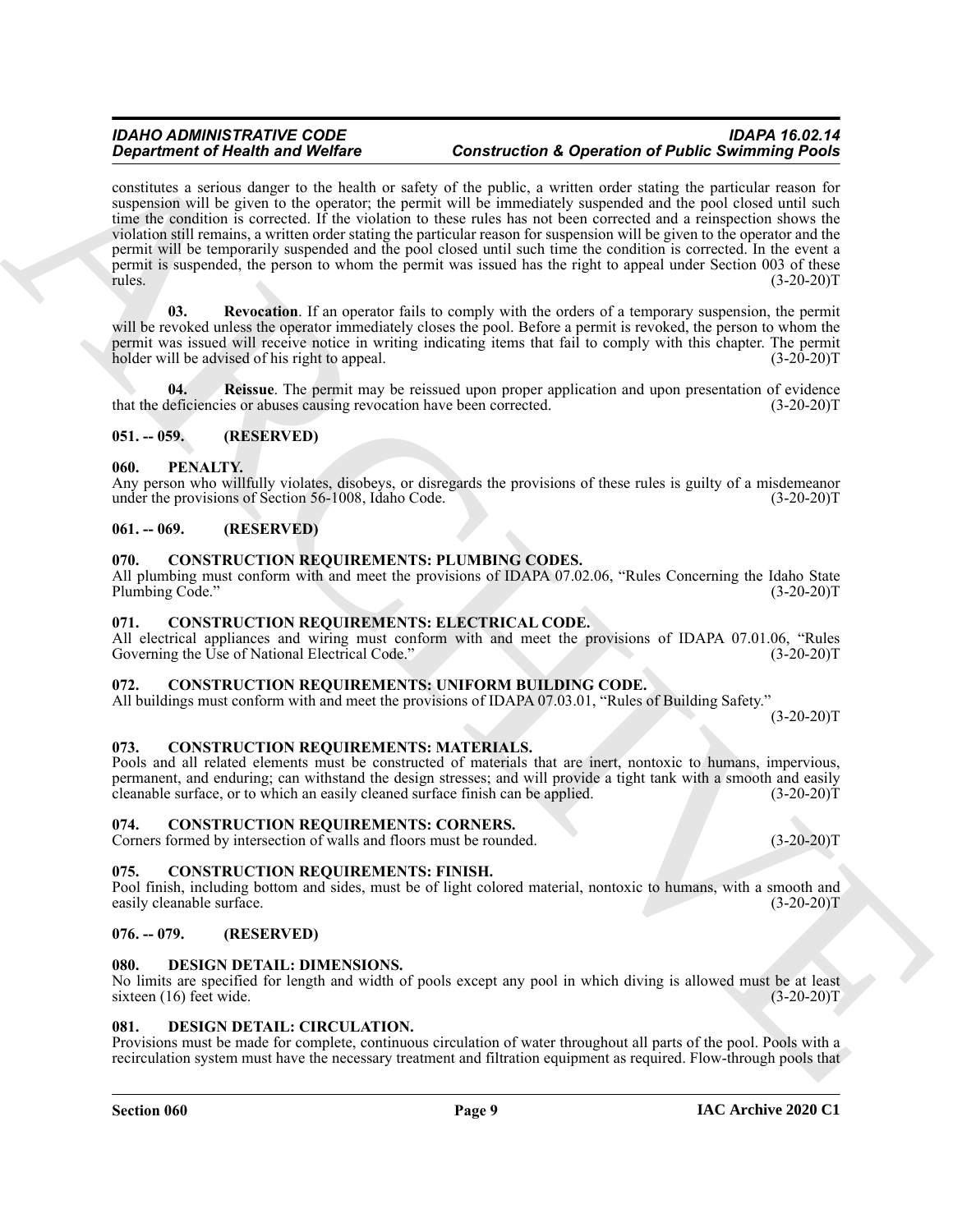**Experimental New Worlds Construction** (**Construction Construction A** proposition **C Follow** Section 2.1 (a)  $\frac{1}{2}$  (a)  $\frac{1}{2}$  (b)  $\frac{1}{2}$  (f)  $\frac{1}{2}$  (f)  $\frac{1}{2}$  (f)  $\frac{1}{2}$  (f)  $\frac{1}{2}$  (f)  $\frac{1}{2}$ constitutes a serious danger to the health or safety of the public, a written order stating the particular reason for suspension will be given to the operator; the permit will be immediately suspended and the pool closed until such time the condition is corrected. If the violation to these rules has not been corrected and a reinspection shows the violation still remains, a written order stating the particular reason for suspension will be given to the operator and the permit will be temporarily suspended and the pool closed until such time the condition is corrected. In the event a permit is suspended, the person to whom the permit was issued has the right to appeal under Section 003 of these rules. (3-20-20)  $rules.$  (3-20-20) $T$ 

<span id="page-8-22"></span>**03. Revocation**. If an operator fails to comply with the orders of a temporary suspension, the permit will be revoked unless the operator immediately closes the pool. Before a permit is revoked, the person to whom the permit was issued will receive notice in writing indicating items that fail to comply with this chapter. The permit holder will be advised of his right to appeal. (3-20-20) holder will be advised of his right to appeal.

<span id="page-8-21"></span>**Reissue**. The permit may be reissued upon proper application and upon presentation of evidence that the deficiencies or abuses causing revocation have been corrected. (3-20-20)T

#### <span id="page-8-0"></span>**051. -- 059. (RESERVED)**

#### <span id="page-8-20"></span><span id="page-8-1"></span>**060. PENALTY.**

Any person who willfully violates, disobeys, or disregards the provisions of these rules is guilty of a misdemeanor under the provisions of Section 56-1008, Idaho Code. (3-20-20)T

#### <span id="page-8-2"></span>**061. -- 069. (RESERVED)**

#### <span id="page-8-16"></span><span id="page-8-3"></span>**070. CONSTRUCTION REQUIREMENTS: PLUMBING CODES.**

All plumbing must conform with and meet the provisions of IDAPA 07.02.06, "Rules Concerning the Idaho State Plumbing Code." (3-20-20)T

#### <span id="page-8-13"></span><span id="page-8-4"></span>**071. CONSTRUCTION REQUIREMENTS: ELECTRICAL CODE.**

All electrical appliances and wiring must conform with and meet the provisions of IDAPA 07.01.06, "Rules Governing the Use of National Electrical Code." (3-20-20)T

#### <span id="page-8-17"></span><span id="page-8-5"></span>**072. CONSTRUCTION REQUIREMENTS: UNIFORM BUILDING CODE.**

All buildings must conform with and meet the provisions of IDAPA 07.03.01, "Rules of Building Safety."  $(3-20-20)T$ 

#### <span id="page-8-15"></span><span id="page-8-6"></span>**073. CONSTRUCTION REQUIREMENTS: MATERIALS.**

Pools and all related elements must be constructed of materials that are inert, nontoxic to humans, impervious, permanent, and enduring; can withstand the design stresses; and will provide a tight tank with a smooth and easily cleanable surface, or to which an easily cleaned surface finish can be applied. (3-20-20)T cleanable surface, or to which an easily cleaned surface finish can be applied.

#### <span id="page-8-12"></span><span id="page-8-7"></span>**074. CONSTRUCTION REQUIREMENTS: CORNERS.**

Corners formed by intersection of walls and floors must be rounded. (3-20-20)T

#### <span id="page-8-14"></span><span id="page-8-8"></span>**075. CONSTRUCTION REQUIREMENTS: FINISH.**

Pool finish, including bottom and sides, must be of light colored material, nontoxic to humans, with a smooth and easily cleanable surface. (3-20-20)T

#### <span id="page-8-9"></span>**076. -- 079. (RESERVED)**

#### <span id="page-8-19"></span><span id="page-8-10"></span>**080. DESIGN DETAIL: DIMENSIONS.**

No limits are specified for length and width of pools except any pool in which diving is allowed must be at least sixteen (16) feet wide. (3-20-20)T sixteen  $(16)$  feet wide.

#### <span id="page-8-18"></span><span id="page-8-11"></span>**081. DESIGN DETAIL: CIRCULATION.**

Provisions must be made for complete, continuous circulation of water throughout all parts of the pool. Pools with a recirculation system must have the necessary treatment and filtration equipment as required. Flow-through pools that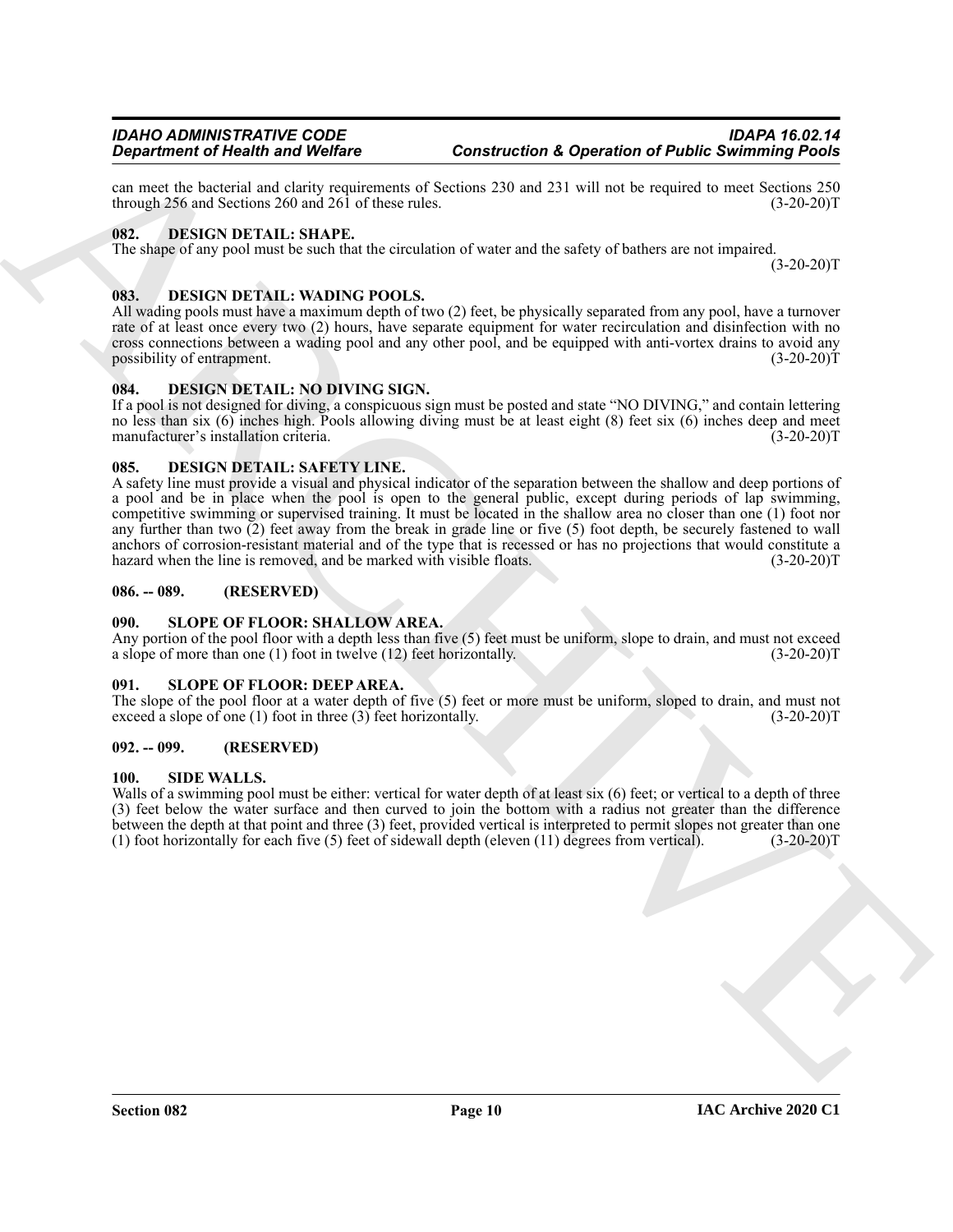can meet the bacterial and clarity requirements of Sections 230 and 231 will not be required to meet Sections 250 through 256 and Sections 260 and  $26\overline{1}$  of these rules.

#### <span id="page-9-11"></span><span id="page-9-0"></span>**082. DESIGN DETAIL: SHAPE.**

The shape of any pool must be such that the circulation of water and the safety of bathers are not impaired.  $(3-20-20)T$ 

### <span id="page-9-12"></span><span id="page-9-1"></span>**083. DESIGN DETAIL: WADING POOLS.**

All wading pools must have a maximum depth of two (2) feet, be physically separated from any pool, have a turnover rate of at least once every two (2) hours, have separate equipment for water recirculation and disinfection with no cross connections between a wading pool and any other pool, and be equipped with anti-vortex drains to avoid any possibility of entrapment. (3-20-20)T

#### <span id="page-9-9"></span><span id="page-9-2"></span>**084. DESIGN DETAIL: NO DIVING SIGN.**

If a pool is not designed for diving, a conspicuous sign must be posted and state "NO DIVING," and contain lettering no less than six (6) inches high. Pools allowing diving must be at least eight (8) feet six (6) inches deep and meet<br>manufacturer's installation criteria. (3-20-20) manufacturer's installation criteria.

#### <span id="page-9-10"></span><span id="page-9-3"></span>**085. DESIGN DETAIL: SAFETY LINE.**

**Construction C** Newther Solid Construction Construction A Operation of Public Solitioning Points<br>
and the best of the United Construction C Solition 238<br>
https://www.com/solition/integration of the United Construction Co A safety line must provide a visual and physical indicator of the separation between the shallow and deep portions of a pool and be in place when the pool is open to the general public, except during periods of lap swimming, competitive swimming or supervised training. It must be located in the shallow area no closer than one (1) foot nor any further than two (2) feet away from the break in grade line or five (5) foot depth, be securely fastened to wall anchors of corrosion-resistant material and of the type that is recessed or has no projections that would constitute a hazard when the line is removed, and be marked with visible floats. (3-20-20)T

#### <span id="page-9-4"></span>**086. -- 089. (RESERVED)**

#### <span id="page-9-15"></span><span id="page-9-5"></span>**090. SLOPE OF FLOOR: SHALLOW AREA.**

Any portion of the pool floor with a depth less than five (5) feet must be uniform, slope to drain, and must not exceed a slope of more than one (1) foot in twelve (12) feet horizontally. (3-20-20)T

#### <span id="page-9-14"></span><span id="page-9-6"></span>**091. SLOPE OF FLOOR: DEEP AREA.**

The slope of the pool floor at a water depth of five  $(5)$  feet or more must be uniform, sloped to drain, and must not exceed a slope of one  $(1)$  foot in three  $(3)$  feet horizontally.  $(3-20-20)$ exceed a slope of one (1) foot in three  $(3)$  feet horizontally.

#### <span id="page-9-7"></span>**092. -- 099. (RESERVED)**

#### <span id="page-9-13"></span><span id="page-9-8"></span>**100. SIDE WALLS.**

Walls of a swimming pool must be either: vertical for water depth of at least six (6) feet; or vertical to a depth of three (3) feet below the water surface and then curved to join the bottom with a radius not greater than the difference between the depth at that point and three (3) feet, provided vertical is interpreted to permit slopes not greater than one (1) foot horizontally for each five (5) feet of sidewall depth (eleven (11) degrees from vertical). (3-20-20)T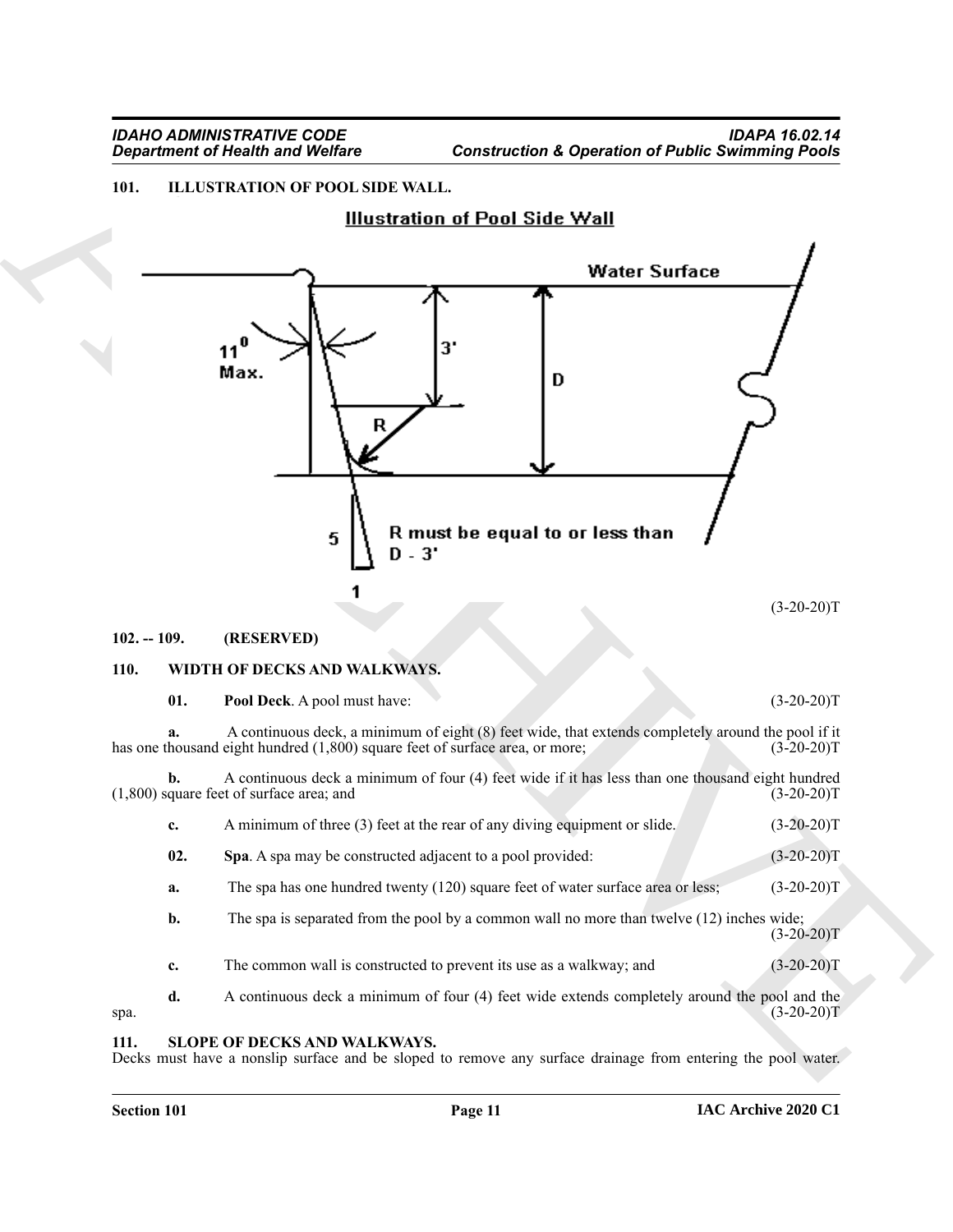# <span id="page-10-4"></span><span id="page-10-0"></span>**101. ILLUSTRATION OF POOL SIDE WALL.**



#### <span id="page-10-1"></span>**102. -- 109. (RESERVED)**

#### <span id="page-10-6"></span><span id="page-10-2"></span>**110. WIDTH OF DECKS AND WALKWAYS.**

<span id="page-10-8"></span><span id="page-10-7"></span>

| 01. | Pool Deck. A pool must have:                                                                                                                                                       | $(3-20-20)T$ |
|-----|------------------------------------------------------------------------------------------------------------------------------------------------------------------------------------|--------------|
| a.  | A continuous deck, a minimum of eight (8) feet wide, that extends completely around the pool if it<br>has one thousand eight hundred (1,800) square feet of surface area, or more; | $(3-20-20)T$ |
| b.  | A continuous deck a minimum of four (4) feet wide if it has less than one thousand eight hundred<br>$(1,800)$ square feet of surface area; and                                     | $(3-20-20)T$ |
| c.  | A minimum of three (3) feet at the rear of any diving equipment or slide.                                                                                                          | $(3-20-20)T$ |
| 02. | Spa. A spa may be constructed adjacent to a pool provided:                                                                                                                         | $(3-20-20)T$ |
| a.  | The spa has one hundred twenty (120) square feet of water surface area or less;                                                                                                    | $(3-20-20)T$ |
| b.  | The spa is separated from the pool by a common wall no more than twelve $(12)$ inches wide;                                                                                        | $(3-20-20)T$ |
| c.  | The common wall is constructed to prevent its use as a walkway; and                                                                                                                | $(3-20-20)T$ |

**d.** A continuous deck a minimum of four (4) feet wide extends completely around the pool and the  $(3-20-20)T$  $\text{spa.}$  (3-20-20)T

#### <span id="page-10-5"></span><span id="page-10-3"></span>**111. SLOPE OF DECKS AND WALKWAYS.**

Decks must have a nonslip surface and be sloped to remove any surface drainage from entering the pool water.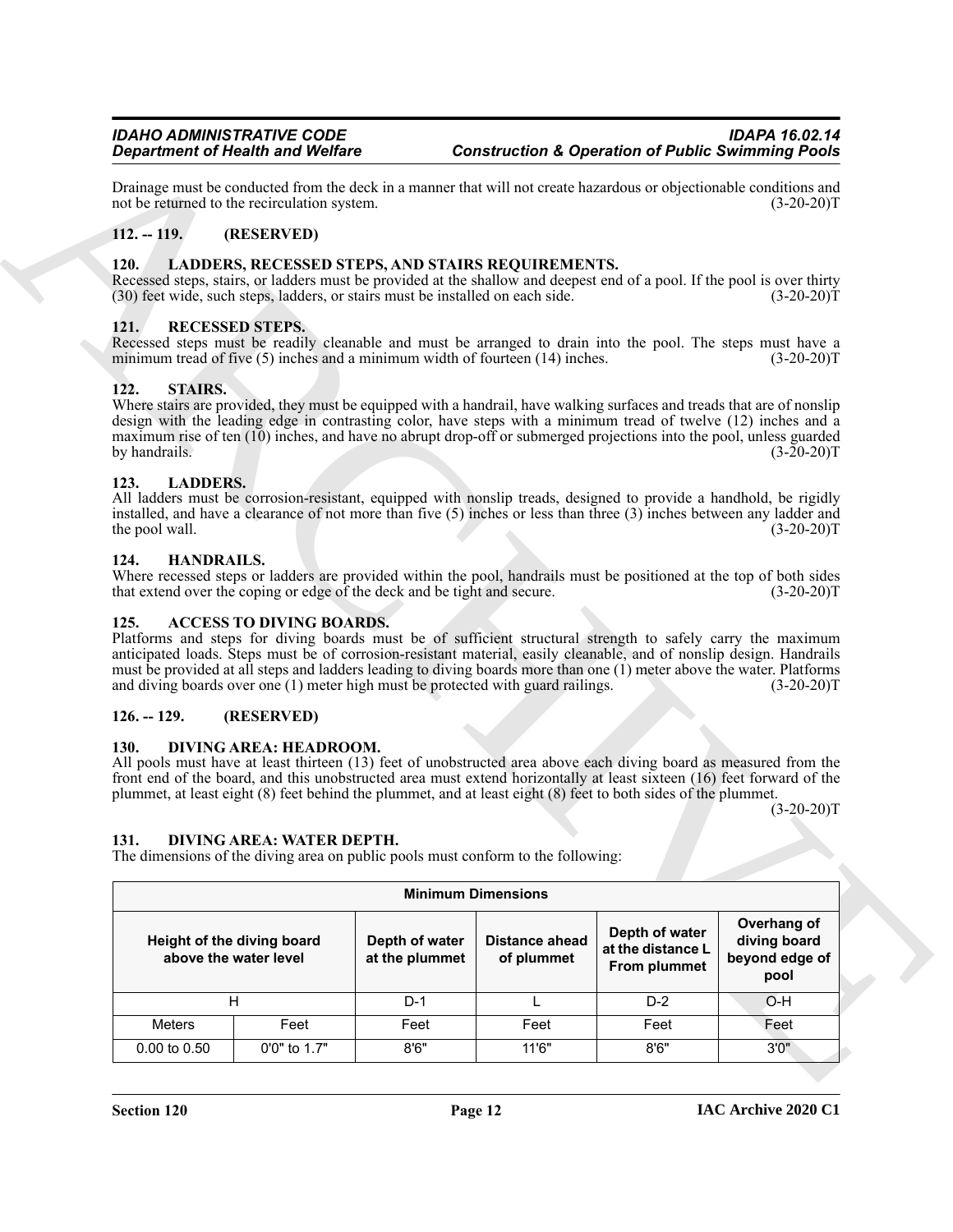#### <span id="page-11-0"></span>**112. -- 119. (RESERVED)**

#### <span id="page-11-15"></span><span id="page-11-1"></span>**120. LADDERS, RECESSED STEPS, AND STAIRS REQUIREMENTS.**

#### <span id="page-11-16"></span><span id="page-11-2"></span>**121. RECESSED STEPS.**

#### <span id="page-11-17"></span><span id="page-11-3"></span>**122. STAIRS.**

#### <span id="page-11-14"></span><span id="page-11-4"></span>**123. LADDERS.**

#### <span id="page-11-13"></span><span id="page-11-5"></span>**124. HANDRAILS.**

#### <span id="page-11-10"></span><span id="page-11-6"></span>**125. ACCESS TO DIVING BOARDS.**

#### <span id="page-11-7"></span>**126. -- 129. (RESERVED)**

#### <span id="page-11-11"></span><span id="page-11-8"></span>**130. DIVING AREA: HEADROOM.**

#### <span id="page-11-12"></span><span id="page-11-9"></span>**131. DIVING AREA: WATER DEPTH.**

| <b>Department of Health and Welfare</b>      |                                                     |                                                     |                                                                                                                                                                                                                                                                                                                                                                                                                                                  |                                     | <b>Construction &amp; Operation of Public Swimming Pools</b> |                                                       |
|----------------------------------------------|-----------------------------------------------------|-----------------------------------------------------|--------------------------------------------------------------------------------------------------------------------------------------------------------------------------------------------------------------------------------------------------------------------------------------------------------------------------------------------------------------------------------------------------------------------------------------------------|-------------------------------------|--------------------------------------------------------------|-------------------------------------------------------|
| not be returned to the recirculation system. |                                                     |                                                     | Drainage must be conducted from the deck in a manner that will not create hazardous or objectionable conditions and                                                                                                                                                                                                                                                                                                                              |                                     |                                                              | $(3-20-20)T$                                          |
| $112. - 119.$                                |                                                     | (RESERVED)                                          |                                                                                                                                                                                                                                                                                                                                                                                                                                                  |                                     |                                                              |                                                       |
| <b>120.</b>                                  |                                                     |                                                     | LADDERS, RECESSED STEPS, AND STAIRS REQUIREMENTS.<br>Recessed steps, stairs, or ladders must be provided at the shallow and deepest end of a pool. If the pool is over thirty<br>(30) feet wide, such steps, ladders, or stairs must be installed on each side.                                                                                                                                                                                  |                                     |                                                              | $(3-20-20)T$                                          |
| 121.                                         | <b>RECESSED STEPS.</b>                              |                                                     | Recessed steps must be readily cleanable and must be arranged to drain into the pool. The steps must have a<br>minimum tread of five (5) inches and a minimum width of fourteen (14) inches.                                                                                                                                                                                                                                                     |                                     |                                                              | $(3-20-20)T$                                          |
| <b>STAIRS.</b><br>122.<br>by handrails.      |                                                     |                                                     | Where stairs are provided, they must be equipped with a handrail, have walking surfaces and treads that are of nonslip<br>design with the leading edge in contrasting color, have steps with a minimum tread of twelve (12) inches and a<br>maximum rise of ten (10) inches, and have no abrupt drop-off or submerged projections into the pool, unless guarded                                                                                  |                                     |                                                              | $(3-20-20)T$                                          |
| 123.<br>the pool wall.                       | <b>LADDERS.</b>                                     |                                                     | All ladders must be corrosion-resistant, equipped with nonslip treads, designed to provide a handhold, be rigidly<br>installed, and have a clearance of not more than five $(5)$ inches or less than three $(3)$ inches between any ladder and                                                                                                                                                                                                   |                                     |                                                              | $(3-20-20)T$                                          |
| 124.                                         | HANDRAILS.                                          |                                                     | Where recessed steps or ladders are provided within the pool, handrails must be positioned at the top of both sides<br>that extend over the coping or edge of the deck and be tight and secure.                                                                                                                                                                                                                                                  |                                     |                                                              | $(3-20-20)T$                                          |
| 125.                                         |                                                     | <b>ACCESS TO DIVING BOARDS.</b>                     | Platforms and steps for diving boards must be of sufficient structural strength to safely carry the maximum<br>anticipated loads. Steps must be of corrosion-resistant material, easily cleanable, and of nonslip design. Handrails<br>must be provided at all steps and ladders leading to diving boards more than one (1) meter above the water. Platforms<br>and diving boards over one (1) meter high must be protected with guard railings. |                                     |                                                              | $(3-20-20)T$                                          |
| $126. - 129.$                                |                                                     | (RESERVED)                                          |                                                                                                                                                                                                                                                                                                                                                                                                                                                  |                                     |                                                              |                                                       |
| <b>130.</b><br>131.                          |                                                     | DIVING AREA: HEADROOM.<br>DIVING AREA: WATER DEPTH. | All pools must have at least thirteen (13) feet of unobstructed area above each diving board as measured from the<br>front end of the board, and this unobstructed area must extend horizontally at least sixteen (16) feet forward of the<br>plummet, at least eight (8) feet behind the plummet, and at least eight (8) feet to both sides of the plummet.<br>The dimensions of the diving area on public pools must conform to the following: |                                     |                                                              | $(3-20-20)T$                                          |
|                                              |                                                     |                                                     |                                                                                                                                                                                                                                                                                                                                                                                                                                                  | <b>Minimum Dimensions</b>           |                                                              |                                                       |
|                                              | Height of the diving board<br>above the water level |                                                     | Depth of water<br>at the plummet                                                                                                                                                                                                                                                                                                                                                                                                                 | <b>Distance ahead</b><br>of plummet | Depth of water<br>at the distance L<br>From plummet          | Overhang of<br>diving board<br>beyond edge of<br>pool |
|                                              | H                                                   |                                                     | $D-1$                                                                                                                                                                                                                                                                                                                                                                                                                                            | L                                   | $D-2$                                                        | O-H                                                   |
|                                              |                                                     |                                                     | Feet                                                                                                                                                                                                                                                                                                                                                                                                                                             | Feet                                | Feet                                                         | Feet                                                  |
| Meters                                       |                                                     | Feet                                                |                                                                                                                                                                                                                                                                                                                                                                                                                                                  |                                     |                                                              |                                                       |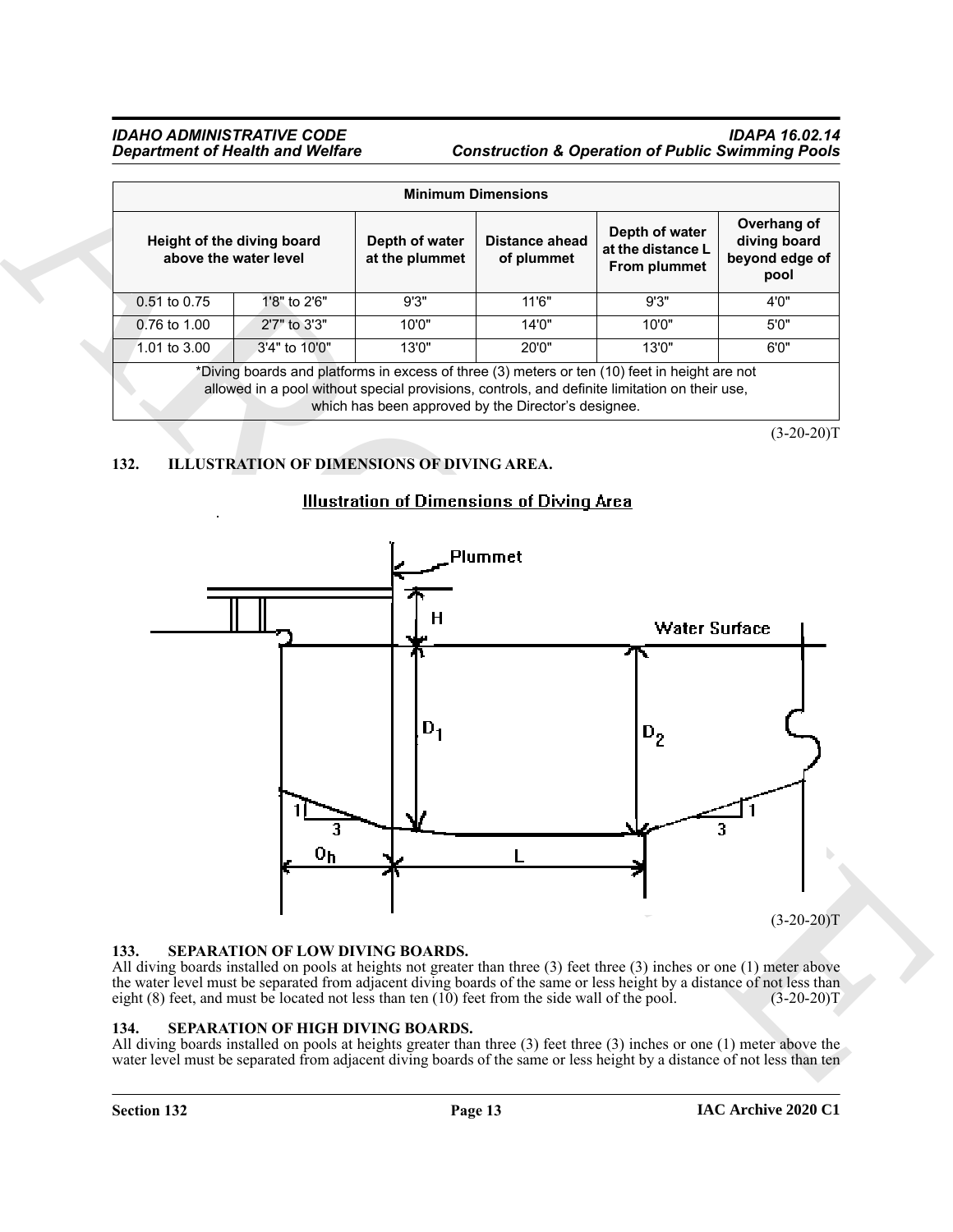|                                                     |               |                                                     | <b>Minimum Dimensions</b>           |                                                                                                                                                                                                |                                                       |
|-----------------------------------------------------|---------------|-----------------------------------------------------|-------------------------------------|------------------------------------------------------------------------------------------------------------------------------------------------------------------------------------------------|-------------------------------------------------------|
| Height of the diving board<br>above the water level |               | Depth of water<br>at the plummet                    | <b>Distance ahead</b><br>of plummet | Depth of water<br>at the distance L<br>From plummet                                                                                                                                            | Overhang of<br>diving board<br>beyond edge of<br>pool |
| 0.51 to 0.75                                        | 1'8" to 2'6"  | 9'3"                                                | 11'6"                               | 9'3"                                                                                                                                                                                           | 4'0''                                                 |
| 0.76 to 1.00                                        | 2'7" to 3'3"  | 10'0"                                               | 14'0''                              | 10'0"                                                                                                                                                                                          | 5'0''                                                 |
| 1.01 to 3.00                                        | 3'4" to 10'0" | 13'0"                                               | 20'0"                               | 13'0''                                                                                                                                                                                         | 6'0"                                                  |
|                                                     |               | which has been approved by the Director's designee. |                                     | *Diving boards and platforms in excess of three (3) meters or ten (10) feet in height are not<br>allowed in a pool without special provisions, controls, and definite limitation on their use, |                                                       |

 $(3-20-20)T$ 

# <span id="page-12-3"></span><span id="page-12-0"></span>**132. ILLUSTRATION OF DIMENSIONS OF DIVING AREA.**



#### <span id="page-12-5"></span><span id="page-12-1"></span>**133. SEPARATION OF LOW DIVING BOARDS.**

All diving boards installed on pools at heights not greater than three (3) feet three (3) inches or one (1) meter above the water level must be separated from adjacent diving boards of the same or less height by a distance of not less than eight (8) feet, and must be located not less than ten (10) feet from the side wall of the pool. (3-20-20)T

#### <span id="page-12-4"></span><span id="page-12-2"></span>**134. SEPARATION OF HIGH DIVING BOARDS.**

All diving boards installed on pools at heights greater than three (3) feet three (3) inches or one (1) meter above the water level must be separated from adjacent diving boards of the same or less height by a distance of not less than ten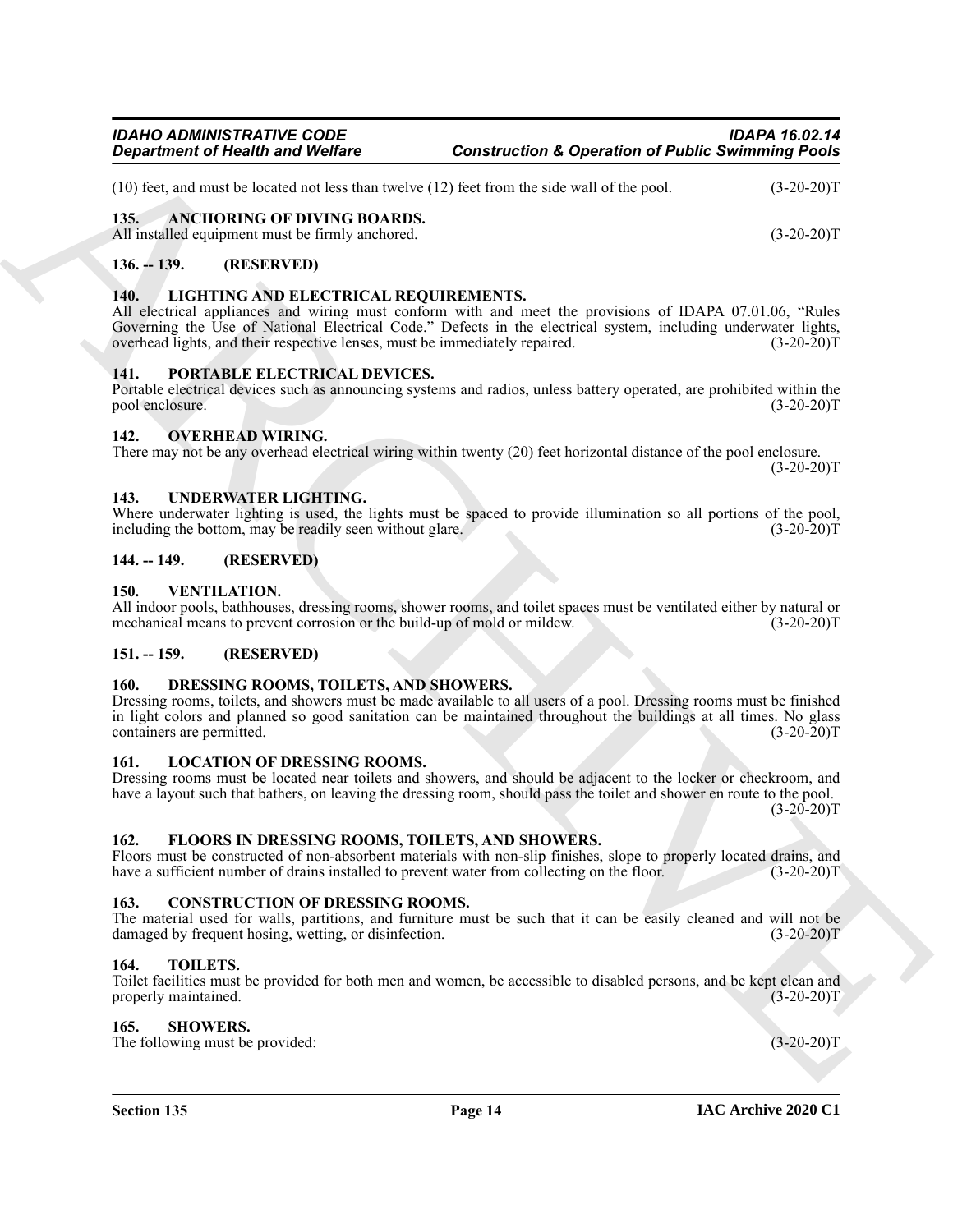(10) feet, and must be located not less than twelve (12) feet from the side wall of the pool. (3-20-20)T

### <span id="page-13-15"></span><span id="page-13-0"></span>**135. ANCHORING OF DIVING BOARDS.**

All installed equipment must be firmly anchored. (3-20-20)T

#### <span id="page-13-1"></span>**136. -- 139. (RESERVED)**

#### <span id="page-13-19"></span><span id="page-13-2"></span>**140. LIGHTING AND ELECTRICAL REQUIREMENTS.**

All electrical appliances and wiring must conform with and meet the provisions of IDAPA 07.01.06, "Rules Governing the Use of National Electrical Code." Defects in the electrical system, including underwater lights, overhead lights, and their respective lenses, must be immediately repaired. (3-20-20)T overhead lights, and their respective lenses, must be immediately repaired.

#### <span id="page-13-22"></span><span id="page-13-3"></span>**141. PORTABLE ELECTRICAL DEVICES.**

Portable electrical devices such as announcing systems and radios, unless battery operated, are prohibited within the pool enclosure. (3-20-20)T

#### <span id="page-13-21"></span><span id="page-13-4"></span>**142. OVERHEAD WIRING.**

There may not be any overhead electrical wiring within twenty (20) feet horizontal distance of the pool enclosure.

#### <span id="page-13-25"></span><span id="page-13-5"></span>**143. UNDERWATER LIGHTING.**

Where underwater lighting is used, the lights must be spaced to provide illumination so all portions of the pool, including the bottom, may be readily seen without glare. (3-20-20) including the bottom, may be readily seen without glare.

#### <span id="page-13-6"></span>**144. -- 149. (RESERVED)**

#### <span id="page-13-26"></span><span id="page-13-7"></span>**150. VENTILATION.**

All indoor pools, bathhouses, dressing rooms, shower rooms, and toilet spaces must be ventilated either by natural or mechanical means to prevent corrosion or the build-up of mold or mildew. (3-20-20)T

#### <span id="page-13-8"></span>**151. -- 159. (RESERVED)**

#### <span id="page-13-17"></span><span id="page-13-9"></span>**160. DRESSING ROOMS, TOILETS, AND SHOWERS.**

**Equation of Nearly was Wedler<br>
(19) and another state that the state of the state of the state of the state of the state of the state of the state of the state of the state of the state of the state of the state of the s** Dressing rooms, toilets, and showers must be made available to all users of a pool. Dressing rooms must be finished in light colors and planned so good sanitation can be maintained throughout the buildings at all times. No glass containers are permitted. (3-20-20)T

#### <span id="page-13-20"></span><span id="page-13-10"></span>**161. LOCATION OF DRESSING ROOMS.**

Dressing rooms must be located near toilets and showers, and should be adjacent to the locker or checkroom, and have a layout such that bathers, on leaving the dressing room, should pass the toilet and shower en route to the pool.  $(3-20-20)T$ 

#### <span id="page-13-18"></span><span id="page-13-11"></span>**162. FLOORS IN DRESSING ROOMS, TOILETS, AND SHOWERS.**

Floors must be constructed of non-absorbent materials with non-slip finishes, slope to properly located drains, and have a sufficient number of drains installed to prevent water from collecting on the floor. (3-20-20)T

#### <span id="page-13-16"></span><span id="page-13-12"></span>**163. CONSTRUCTION OF DRESSING ROOMS.**

The material used for walls, partitions, and furniture must be such that it can be easily cleaned and will not be damaged by frequent hosing, wetting, or disinfection. (3-20-20) damaged by frequent hosing, wetting, or disinfection.

#### <span id="page-13-24"></span><span id="page-13-13"></span>**164. TOILETS.**

Toilet facilities must be provided for both men and women, be accessible to disabled persons, and be kept clean and properly maintained. (3-20-20)T

#### <span id="page-13-23"></span><span id="page-13-14"></span>**165. SHOWERS.**

The following must be provided: (3-20-20)T

 $(3-20-20)T$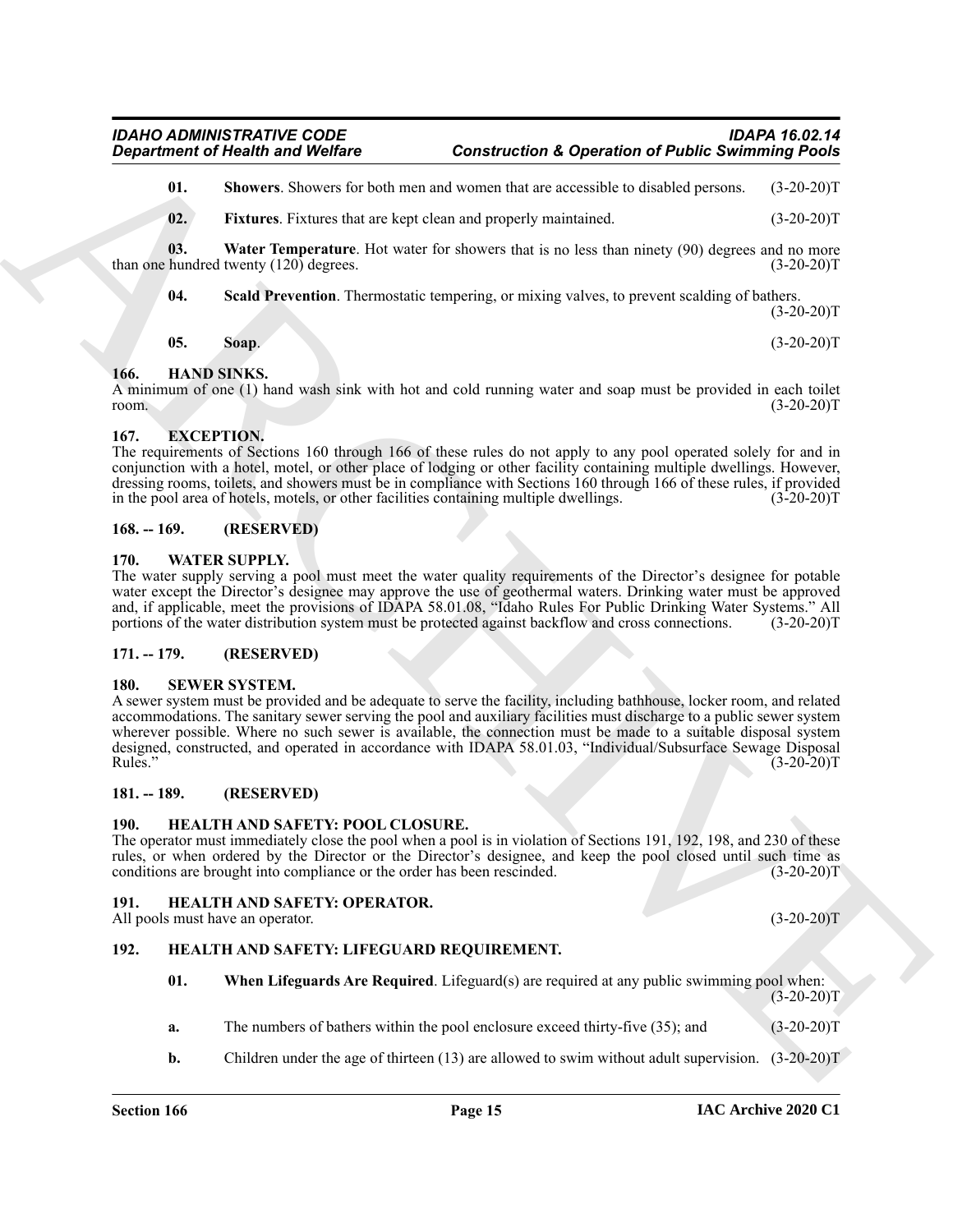<span id="page-14-18"></span><span id="page-14-16"></span>**01. Showers**. Showers for both men and women that are accessible to disabled persons. (3-20-20)T

<span id="page-14-20"></span>**02.** Fixtures. Fixtures that are kept clean and properly maintained. (3-20-20)T

**03.** Water Temperature. Hot water for showers that is no less than ninety (90) degrees and no more than one hundred twenty (120) degrees. (3-20-20)T

<span id="page-14-19"></span><span id="page-14-17"></span>**04. Scald Prevention**. Thermostatic tempering, or mixing valves, to prevent scalding of bathers.  $(3-20-20)T$ 

<span id="page-14-10"></span>

| 05. | Soap. | $(3-20-20)T$ |
|-----|-------|--------------|

#### <span id="page-14-0"></span>**166. HAND SINKS.**

A minimum of one (1) hand wash sink with hot and cold running water and soap must be provided in each toilet room.  $(3-20-20)T$ 

### <span id="page-14-1"></span>**167. EXCEPTION.**

The requirements of Sections 160 through 166 of these rules do not apply to any pool operated solely for and in conjunction with a hotel, motel, or other place of lodging or other facility containing multiple dwellings. However, dressing rooms, toilets, and showers must be in compliance with Sections 160 through 166 of these rules, if provided in the pool area of hotels, motels, or other facilities containing multiple dwellings. (3-20-20)T

#### <span id="page-14-2"></span>**168. -- 169. (RESERVED)**

#### <span id="page-14-21"></span><span id="page-14-3"></span>**170. WATER SUPPLY.**

The water supply serving a pool must meet the water quality requirements of the Director's designee for potable water except the Director's designee may approve the use of geothermal waters. Drinking water must be approved and, if applicable, meet the provisions of IDAPA 58.01.08, "Idaho Rules For Public Drinking Water Systems." All portions of the water distribution system must be protected against backflow and cross connections. (3-20-20)T

#### <span id="page-14-4"></span>**171. -- 179. (RESERVED)**

#### <span id="page-14-15"></span><span id="page-14-5"></span>**180. SEWER SYSTEM.**

**Equation of Nicolli wave Wolfing Construction A Operation of Public Similarity Points<br>
10. Structure Fourier air to structure and towards the structure and the Similar Construction<br>
12. Firstner Fourier air to structure** A sewer system must be provided and be adequate to serve the facility, including bathhouse, locker room, and related accommodations. The sanitary sewer serving the pool and auxiliary facilities must discharge to a public sewer system wherever possible. Where no such sewer is available, the connection must be made to a suitable disposal system designed, constructed, and operated in accordance with IDAPA 58.01.03, "Individual/Subsurface Sewage Disposal Rules." (3-20-20)T

#### <span id="page-14-6"></span>**181. -- 189. (RESERVED)**

#### <span id="page-14-14"></span><span id="page-14-7"></span>**190. HEALTH AND SAFETY: POOL CLOSURE.**

<span id="page-14-9"></span>**192. HEALTH AND SAFETY: LIFEGUARD REQUIREMENT.**

The operator must immediately close the pool when a pool is in violation of Sections 191, 192, 198, and 230 of these rules, or when ordered by the Director or the Director's designee, and keep the pool closed until such time as conditions are brought into compliance or the order has been rescinded. (3-20-20)T

#### <span id="page-14-13"></span><span id="page-14-8"></span>**191. HEALTH AND SAFETY: OPERATOR.**

All pools must have an operator. (3-20-20)T

<span id="page-14-12"></span><span id="page-14-11"></span>**01. When Lifeguards Are Required**. Lifeguard(s) are required at any public swimming pool when: (3-20-20)T

- **a.** The numbers of bathers within the pool enclosure exceed thirty-five (35); and (3-20-20)T
- **b.** Children under the age of thirteen (13) are allowed to swim without adult supervision. (3-20-20)T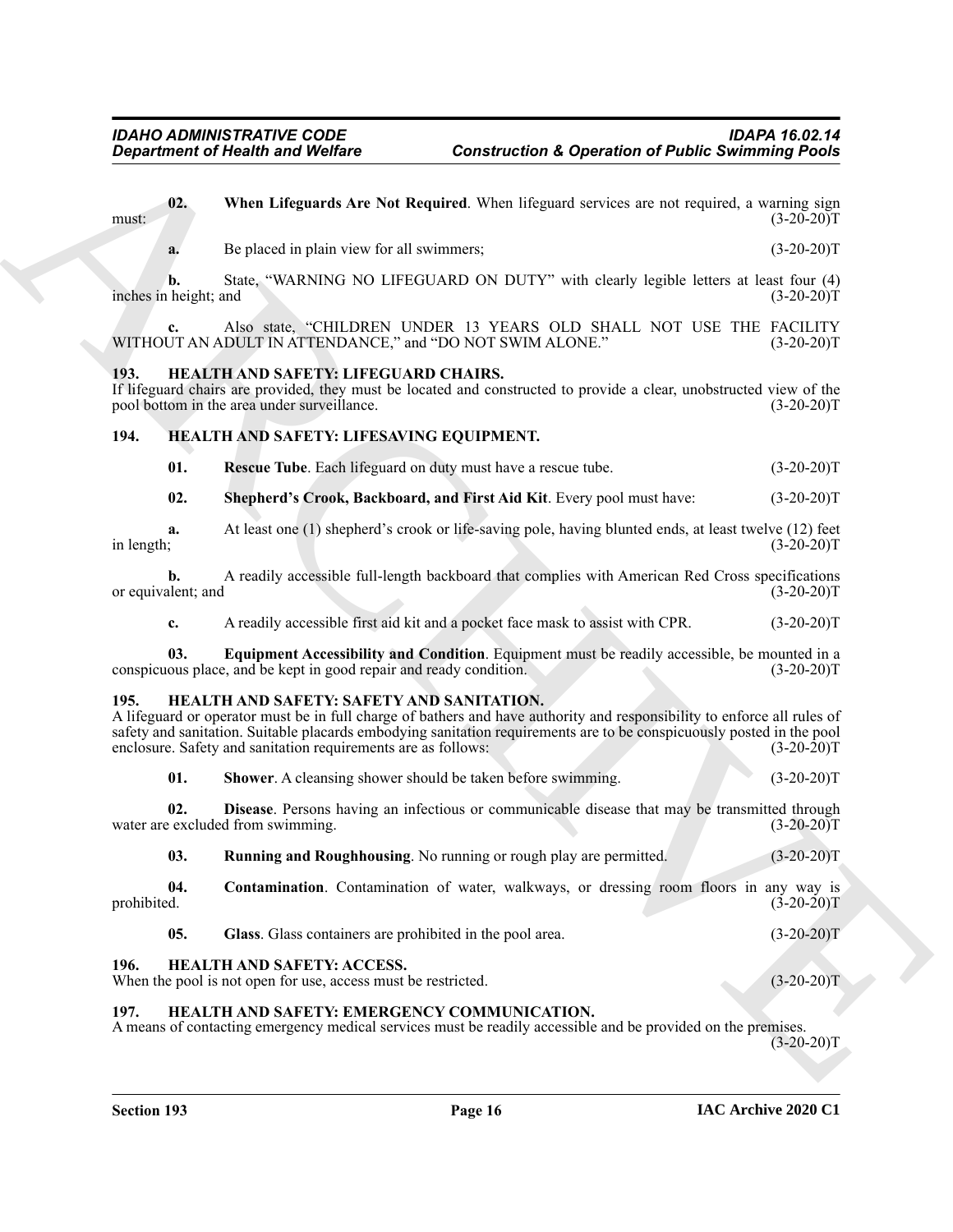<span id="page-15-18"></span><span id="page-15-17"></span><span id="page-15-15"></span><span id="page-15-14"></span><span id="page-15-13"></span><span id="page-15-1"></span><span id="page-15-0"></span>

| 02.                         |                                                                                                            |                                                                                                                                                                                                                                                  |              |
|-----------------------------|------------------------------------------------------------------------------------------------------------|--------------------------------------------------------------------------------------------------------------------------------------------------------------------------------------------------------------------------------------------------|--------------|
| must:                       |                                                                                                            | When Lifeguards Are Not Required. When lifeguard services are not required, a warning sign                                                                                                                                                       | $(3-20-20)T$ |
| a.                          | Be placed in plain view for all swimmers;                                                                  |                                                                                                                                                                                                                                                  | $(3-20-20)T$ |
| b.<br>inches in height; and |                                                                                                            | State, "WARNING NO LIFEGUARD ON DUTY" with clearly legible letters at least four (4)                                                                                                                                                             | $(3-20-20)T$ |
| $c_{\bullet}$               | WITHOUT AN ADULT IN ATTENDANCE," and "DO NOT SWIM ALONE."                                                  | Also state, "CHILDREN UNDER 13 YEARS OLD SHALL NOT USE THE FACILITY                                                                                                                                                                              | $(3-20-20)T$ |
| 193.                        | HEALTH AND SAFETY: LIFEGUARD CHAIRS.<br>pool bottom in the area under surveillance.                        | If lifeguard chairs are provided, they must be located and constructed to provide a clear, unobstructed view of the                                                                                                                              | $(3-20-20)T$ |
| 194.                        | HEALTH AND SAFETY: LIFESAVING EQUIPMENT.                                                                   |                                                                                                                                                                                                                                                  |              |
| 01.                         |                                                                                                            | Rescue Tube. Each lifeguard on duty must have a rescue tube.                                                                                                                                                                                     | $(3-20-20)T$ |
| 02.                         |                                                                                                            | Shepherd's Crook, Backboard, and First Aid Kit. Every pool must have:                                                                                                                                                                            | $(3-20-20)T$ |
| a.<br>in length;            |                                                                                                            | At least one (1) shepherd's crook or life-saving pole, having blunted ends, at least twelve (12) feet                                                                                                                                            | $(3-20-20)T$ |
| b.<br>or equivalent; and    |                                                                                                            | A readily accessible full-length backboard that complies with American Red Cross specifications                                                                                                                                                  | $(3-20-20)T$ |
| c.                          |                                                                                                            | A readily accessible first aid kit and a pocket face mask to assist with CPR.                                                                                                                                                                    | $(3-20-20)T$ |
| 03.                         | conspicuous place, and be kept in good repair and ready condition.                                         | Equipment Accessibility and Condition. Equipment must be readily accessible, be mounted in a                                                                                                                                                     | $(3-20-20)T$ |
| 195.                        | HEALTH AND SAFETY: SAFETY AND SANITATION.<br>enclosure. Safety and sanitation requirements are as follows: | A lifeguard or operator must be in full charge of bathers and have authority and responsibility to enforce all rules of<br>safety and sanitation. Suitable placards embodying sanitation requirements are to be conspicuously posted in the pool | $(3-20-20)T$ |
| 01.                         |                                                                                                            | Shower. A cleansing shower should be taken before swimming.                                                                                                                                                                                      | $(3-20-20)T$ |
| 02.                         | water are excluded from swimming.                                                                          | Disease. Persons having an infectious or communicable disease that may be transmitted through                                                                                                                                                    | $(3-20-20)T$ |
| 03.                         |                                                                                                            | Running and Roughhousing. No running or rough play are permitted.                                                                                                                                                                                | $(3-20-20)T$ |
| 04.<br>prohibited.          |                                                                                                            | Contamination. Contamination of water, walkways, or dressing room floors in any way is                                                                                                                                                           | $(3-20-20)T$ |
| 05.                         | Glass. Glass containers are prohibited in the pool area.                                                   |                                                                                                                                                                                                                                                  | $(3-20-20)T$ |
| 196.                        | <b>HEALTH AND SAFETY: ACCESS.</b><br>When the pool is not open for use, access must be restricted.         |                                                                                                                                                                                                                                                  | $(3-20-20)T$ |
| 197.                        | HEALTH AND SAFETY: EMERGENCY COMMUNICATION.                                                                | A means of contacting emergency medical services must be readily accessible and be provided on the premises.                                                                                                                                     | $(3-20-20)T$ |

#### <span id="page-15-16"></span><span id="page-15-12"></span><span id="page-15-11"></span><span id="page-15-10"></span><span id="page-15-9"></span><span id="page-15-8"></span><span id="page-15-7"></span><span id="page-15-6"></span><span id="page-15-5"></span><span id="page-15-4"></span><span id="page-15-3"></span><span id="page-15-2"></span>**197. HEALTH AND SAFETY: EMERGENCY COMMUNICATION.**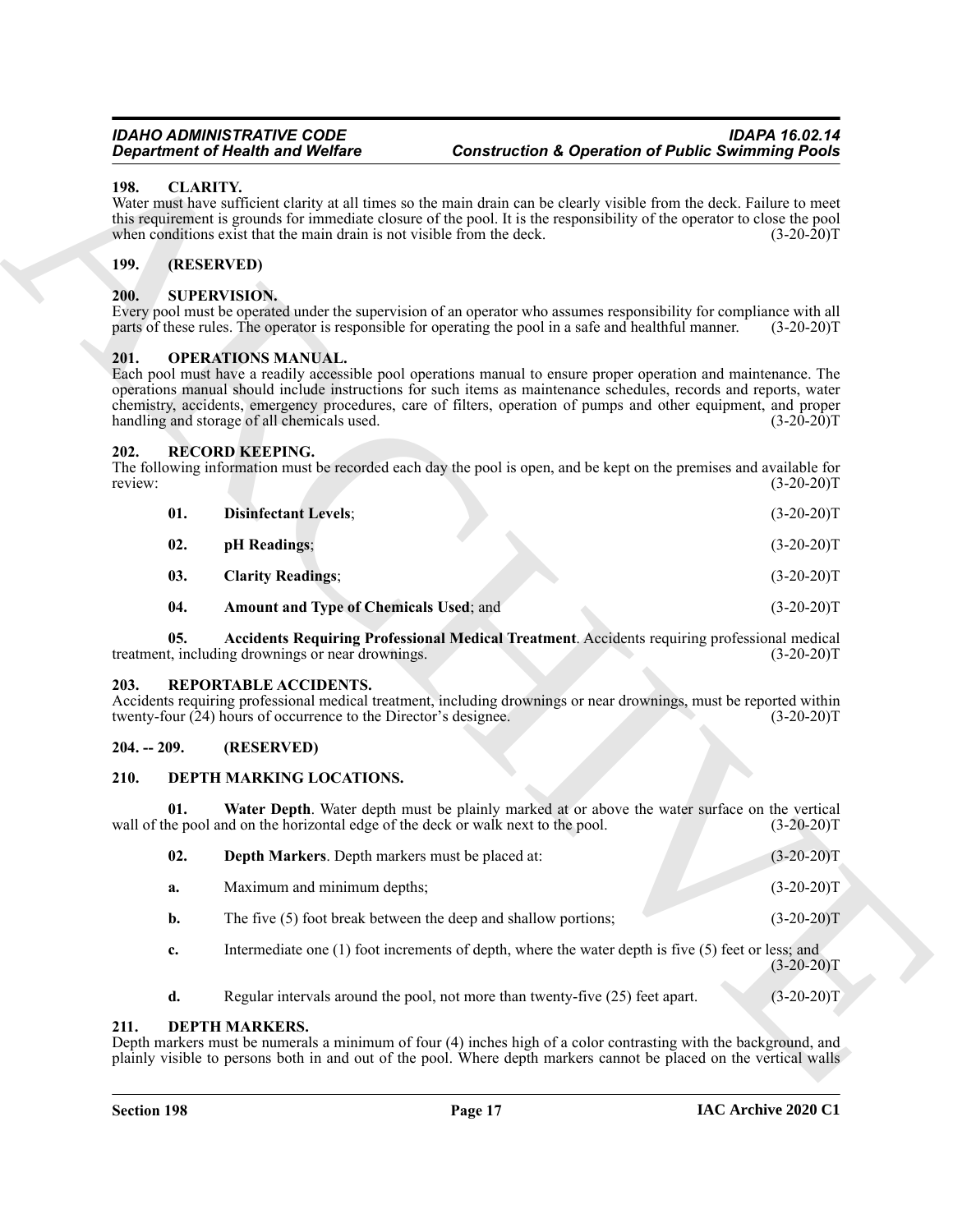#### <span id="page-16-9"></span><span id="page-16-0"></span>**198. CLARITY.**

#### <span id="page-16-1"></span>**199. (RESERVED)**

#### <span id="page-16-22"></span><span id="page-16-2"></span>**200. SUPERVISION.**

#### <span id="page-16-14"></span><span id="page-16-3"></span>**201. OPERATIONS MANUAL.**

#### <span id="page-16-20"></span><span id="page-16-19"></span><span id="page-16-18"></span><span id="page-16-15"></span><span id="page-16-4"></span>**202. RECORD KEEPING.**

| <b>Department of Health and Welfare</b> |                                                                                             | <b>Construction &amp; Operation of Public Swimming Pools</b>                                                                                                                                                                                                                                                                                            |              |
|-----------------------------------------|---------------------------------------------------------------------------------------------|---------------------------------------------------------------------------------------------------------------------------------------------------------------------------------------------------------------------------------------------------------------------------------------------------------------------------------------------------------|--------------|
| 198.                                    | <b>CLARITY.</b><br>when conditions exist that the main drain is not visible from the deck.  | Water must have sufficient clarity at all times so the main drain can be clearly visible from the deck. Failure to meet<br>this requirement is grounds for immediate closure of the pool. It is the responsibility of the operator to close the pool                                                                                                    | $(3-20-20)T$ |
| <b>199.</b>                             | (RESERVED)                                                                                  |                                                                                                                                                                                                                                                                                                                                                         |              |
| 200.                                    | <b>SUPERVISION.</b>                                                                         | Every pool must be operated under the supervision of an operator who assumes responsibility for compliance with all<br>parts of these rules. The operator is responsible for operating the pool in a safe and healthful manner.                                                                                                                         | $(3-20-20)T$ |
| 201.                                    | <b>OPERATIONS MANUAL.</b><br>handling and storage of all chemicals used.                    | Each pool must have a readily accessible pool operations manual to ensure proper operation and maintenance. The<br>operations manual should include instructions for such items as maintenance schedules, records and reports, water<br>chemistry, accidents, emergency procedures, care of filters, operation of pumps and other equipment, and proper | $(3-20-20)T$ |
| 202.<br>review:                         | <b>RECORD KEEPING.</b>                                                                      | The following information must be recorded each day the pool is open, and be kept on the premises and available for                                                                                                                                                                                                                                     | $(3-20-20)T$ |
| 01.                                     | <b>Disinfectant Levels;</b>                                                                 |                                                                                                                                                                                                                                                                                                                                                         | $(3-20-20)T$ |
| 02.                                     | pH Readings;                                                                                |                                                                                                                                                                                                                                                                                                                                                         | $(3-20-20)T$ |
| 03.                                     | <b>Clarity Readings;</b>                                                                    |                                                                                                                                                                                                                                                                                                                                                         | $(3-20-20)T$ |
| 04.                                     | <b>Amount and Type of Chemicals Used; and</b>                                               |                                                                                                                                                                                                                                                                                                                                                         | $(3-20-20)T$ |
| 05.                                     | treatment, including drownings or near drownings.                                           | Accidents Requiring Professional Medical Treatment. Accidents requiring professional medical                                                                                                                                                                                                                                                            | $(3-20-20)T$ |
| 203.                                    | REPORTABLE ACCIDENTS.<br>twenty-four $(24)$ hours of occurrence to the Director's designee. | Accidents requiring professional medical treatment, including drownings or near drownings, must be reported within                                                                                                                                                                                                                                      | $(3-20-20)T$ |
| $204. - 209.$                           | (RESERVED)                                                                                  |                                                                                                                                                                                                                                                                                                                                                         |              |
| 210.                                    | DEPTH MARKING LOCATIONS.                                                                    |                                                                                                                                                                                                                                                                                                                                                         |              |
| 01.                                     | wall of the pool and on the horizontal edge of the deck or walk next to the pool.           | Water Depth. Water depth must be plainly marked at or above the water surface on the vertical                                                                                                                                                                                                                                                           | $(3-20-20)T$ |
| 02.                                     | Depth Markers. Depth markers must be placed at:                                             |                                                                                                                                                                                                                                                                                                                                                         | $(3-20-20)T$ |
| a.                                      | Maximum and minimum depths;                                                                 |                                                                                                                                                                                                                                                                                                                                                         | $(3-20-20)T$ |
| b.                                      |                                                                                             | The five (5) foot break between the deep and shallow portions;                                                                                                                                                                                                                                                                                          | $(3-20-20)T$ |
| c.                                      |                                                                                             | Intermediate one $(1)$ foot increments of depth, where the water depth is five $(5)$ feet or less; and                                                                                                                                                                                                                                                  | $(3-20-20)T$ |
| d.                                      |                                                                                             | Regular intervals around the pool, not more than twenty-five (25) feet apart.                                                                                                                                                                                                                                                                           | $(3-20-20)T$ |
| 211.                                    | <b>DEPTH MARKERS.</b>                                                                       | Depth markers must be numerals a minimum of four (4) inches high of a color contrasting with the background, and<br>plainly visible to persons both in and out of the pool. Where depth markers cannot be placed on the vertical walls                                                                                                                  |              |

#### <span id="page-16-21"></span><span id="page-16-17"></span><span id="page-16-16"></span><span id="page-16-5"></span>**203. REPORTABLE ACCIDENTS.**

#### <span id="page-16-6"></span>**204. -- 209. (RESERVED)**

#### <span id="page-16-11"></span><span id="page-16-7"></span>**210. DEPTH MARKING LOCATIONS.**

<span id="page-16-13"></span><span id="page-16-12"></span>

| 02.       | <b>Depth Markers.</b> Depth markers must be placed at:                                                 | $(3-20-20)T$ |
|-----------|--------------------------------------------------------------------------------------------------------|--------------|
| а.        | Maximum and minimum depths;                                                                            | $(3-20-20)T$ |
| <b>b.</b> | The five (5) foot break between the deep and shallow portions;                                         | $(3-20-20)T$ |
| c.        | Intermediate one $(1)$ foot increments of depth, where the water depth is five $(5)$ feet or less; and |              |

#### <span id="page-16-10"></span><span id="page-16-8"></span>**211. DEPTH MARKERS.**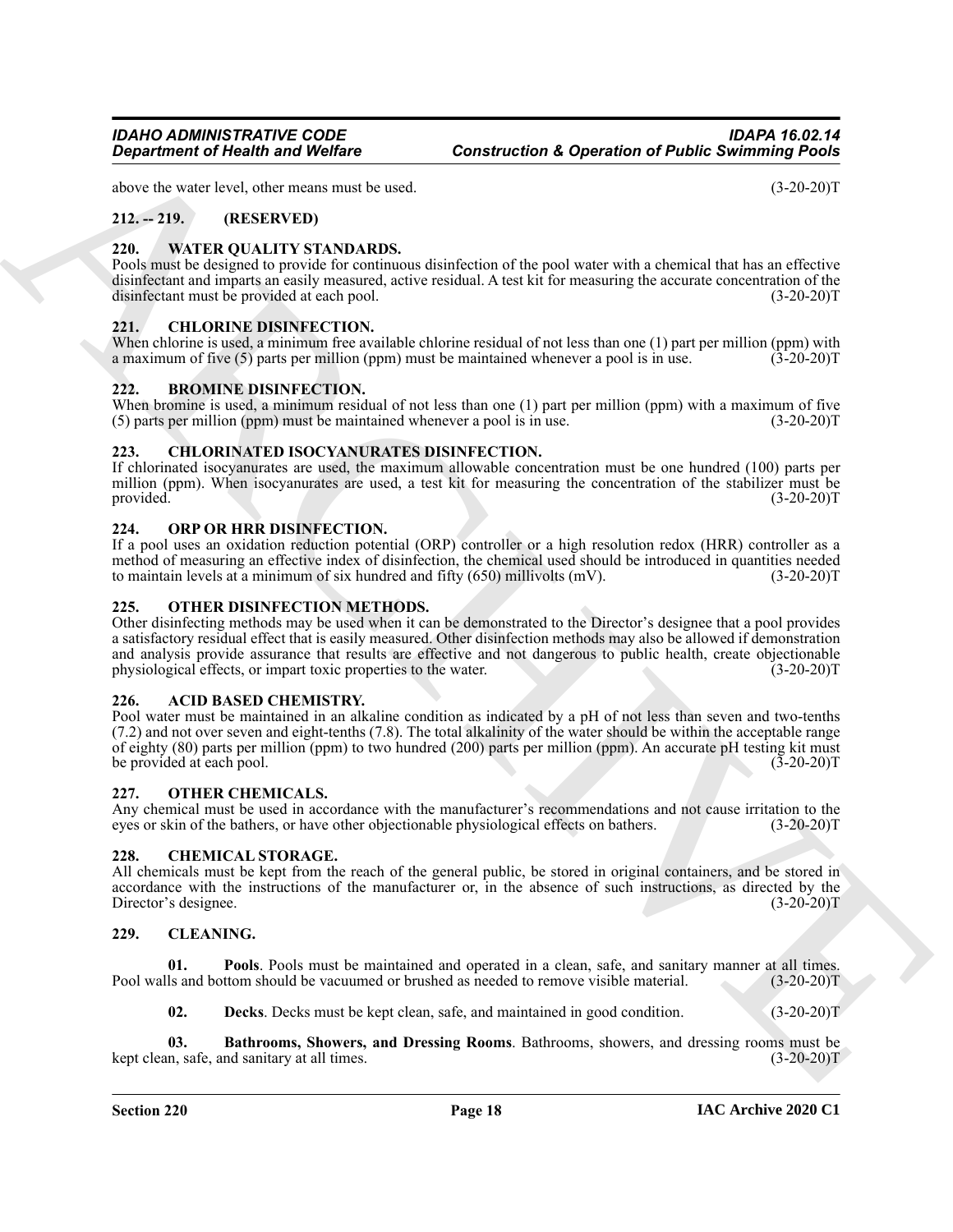above the water level, other means must be used. (3-20-20)T

### <span id="page-17-0"></span>**212. -- 219. (RESERVED)**

#### <span id="page-17-21"></span><span id="page-17-1"></span>**220. WATER QUALITY STANDARDS.**

Pools must be designed to provide for continuous disinfection of the pool water with a chemical that has an effective disinfectant and imparts an easily measured, active residual. A test kit for measuring the accurate concentration of the disinfectant must be provided at each pool. (3-20-20)T

#### <span id="page-17-15"></span><span id="page-17-2"></span>**221. CHLORINE DISINFECTION.**

When chlorine is used, a minimum free available chlorine residual of not less than one (1) part per million (ppm) with a maximum of five (5) parts per million (ppm) must be maintained whenever a pool is in use. (3-20-20)T

#### <span id="page-17-12"></span><span id="page-17-3"></span>**222. BROMINE DISINFECTION.**

When bromine is used, a minimum residual of not less than one (1) part per million (ppm) with a maximum of five (5) parts per million (ppm) must be maintained whenever a pool is in use.  $(3-20-20)$  $(5)$  parts per million (ppm) must be maintained whenever a pool is in use.

#### <span id="page-17-14"></span><span id="page-17-4"></span>**223. CHLORINATED ISOCYANURATES DISINFECTION.**

If chlorinated isocyanurates are used, the maximum allowable concentration must be one hundred (100) parts per million (ppm). When isocyanurates are used, a test kit for measuring the concentration of the stabilizer must be provided. (3-20-20)T

#### <span id="page-17-20"></span><span id="page-17-5"></span>**224. ORP OR HRR DISINFECTION.**

If a pool uses an oxidation reduction potential (ORP) controller or a high resolution redox (HRR) controller as a method of measuring an effective index of disinfection, the chemical used should be introduced in quantities needed<br>to maintain levels at a minimum of six hundred and fifty (650) millivolts (mV). to maintain levels at a minimum of six hundred and fifty  $(650)$  millivolts  $(mV)$ .

#### <span id="page-17-6"></span>**225. OTHER DISINFECTION METHODS.**

Other disinfecting methods may be used when it can be demonstrated to the Director's designee that a pool provides a satisfactory residual effect that is easily measured. Other disinfection methods may also be allowed if demonstration and analysis provide assurance that results are effective and not dangerous to public health, create objectionable physiological effects, or impart toxic properties to the water. (3-20-20)T

#### <span id="page-17-11"></span><span id="page-17-7"></span>**226. ACID BASED CHEMISTRY.**

**Equation of Health was Wedde<br>
Sometization Construction A Operation of Public Sometization<br>
213. Note that because the second and the second and the second and the second and the second and the second and the second and** Pool water must be maintained in an alkaline condition as indicated by a pH of not less than seven and two-tenths (7.2) and not over seven and eight-tenths (7.8). The total alkalinity of the water should be within the acceptable range of eighty (80) parts per million (ppm) to two hundred (200) parts per million (ppm). An accurate pH testing kit must be provided at each pool. (3-20-20)T

#### <span id="page-17-8"></span>**227. OTHER CHEMICALS.**

Any chemical must be used in accordance with the manufacturer's recommendations and not cause irritation to the eyes or skin of the bathers, or have other objectionable physiological effects on bathers. (3-20-20)T

#### <span id="page-17-13"></span><span id="page-17-9"></span>**228. CHEMICAL STORAGE.**

All chemicals must be kept from the reach of the general public, be stored in original containers, and be stored in accordance with the instructions of the manufacturer or, in the absence of such instructions, as directed by the Director's designee. (3-20-20)T

#### <span id="page-17-16"></span><span id="page-17-10"></span>**229. CLEANING.**

**01. Pools**. Pools must be maintained and operated in a clean, safe, and sanitary manner at all times. Pool walls and bottom should be vacuumed or brushed as needed to remove visible material. (3-20-20)T

<span id="page-17-19"></span><span id="page-17-18"></span><span id="page-17-17"></span>**02. Decks**. Decks must be kept clean, safe, and maintained in good condition. (3-20-20)T

**03. Bathrooms, Showers, and Dressing Rooms**. Bathrooms, showers, and dressing rooms must be kept clean, safe, and sanitary at all times. (3-20-20)T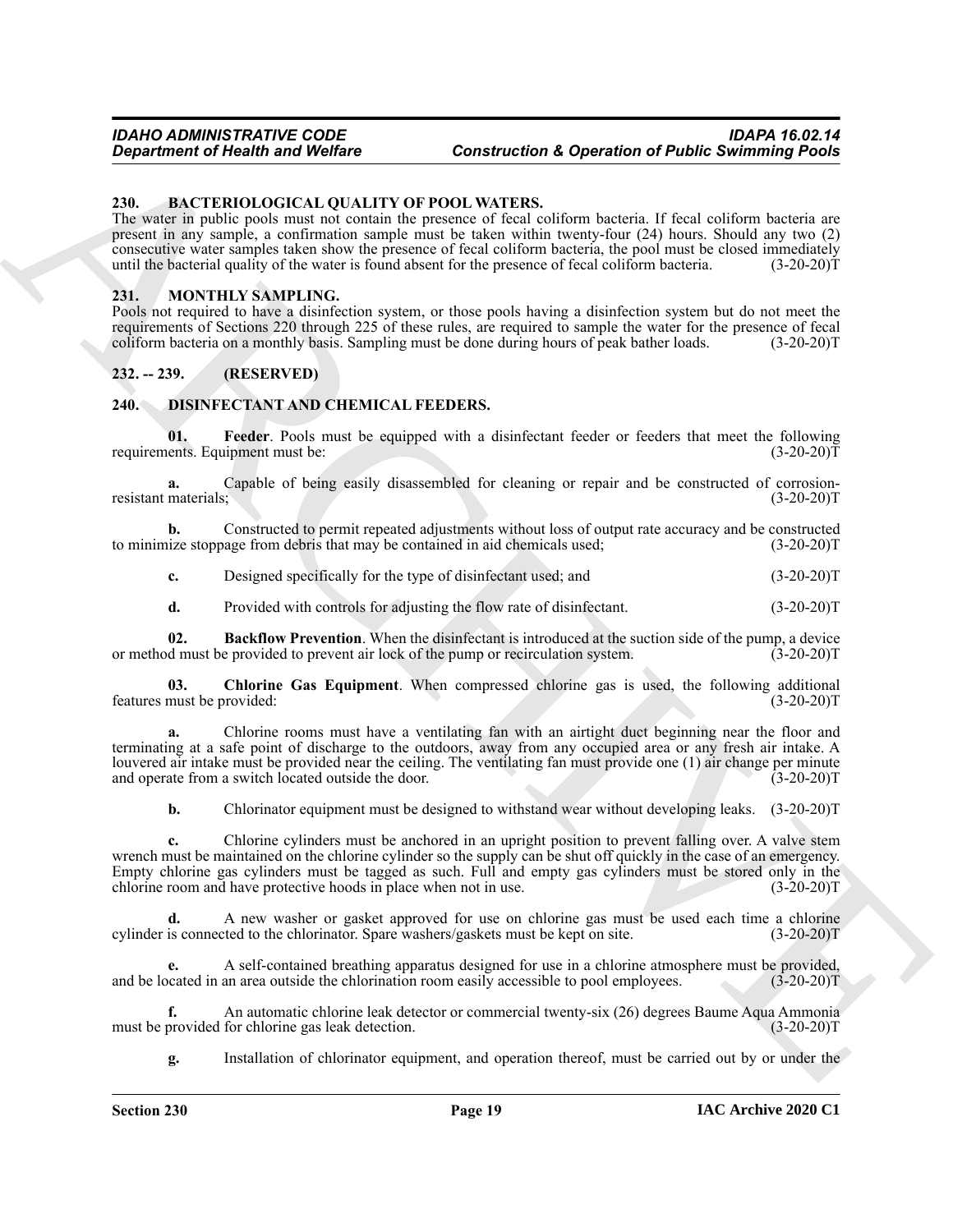#### <span id="page-18-4"></span><span id="page-18-0"></span>**230. BACTERIOLOGICAL QUALITY OF POOL WATERS.**

The water in public pools must not contain the presence of fecal coliform bacteria. If fecal coliform bacteria are present in any sample, a confirmation sample must be taken within twenty-four (24) hours. Should any two (2) consecutive water samples taken show the presence of fecal coliform bacteria, the pool must be closed immediately until the bacterial quality of the water is found absent for the presence of fecal coliform bacteria. (3-20-20)T

#### <span id="page-18-9"></span><span id="page-18-1"></span>**231. MONTHLY SAMPLING.**

Pools not required to have a disinfection system, or those pools having a disinfection system but do not meet the requirements of Sections 220 through 225 of these rules, are required to sample the water for the presence of fecal coliform bacteria on a monthly basis. Sampling must be done during hours of peak bather loads. (3-20-20)T

#### <span id="page-18-2"></span>**232. -- 239. (RESERVED)**

#### <span id="page-18-5"></span><span id="page-18-3"></span>**240. DISINFECTANT AND CHEMICAL FEEDERS.**

<span id="page-18-8"></span>**01. Feeder**. Pools must be equipped with a disinfectant feeder or feeders that meet the following requirements. Equipment must be: (3-20-20)T

**a.** Capable of being easily disassembled for cleaning or repair and be constructed of corrosionresistant materials; (3-20-20)T

**b.** Constructed to permit repeated adjustments without loss of output rate accuracy and be constructed to minimize stoppage from debris that may be contained in aid chemicals used; (3-20-20)T

**c.** Designed specifically for the type of disinfectant used; and (3-20-20)T

<span id="page-18-7"></span><span id="page-18-6"></span>**d.** Provided with controls for adjusting the flow rate of disinfectant. (3-20-20)T

**02. Backflow Prevention**. When the disinfectant is introduced at the suction side of the pump, a device d must be provided to prevent air lock of the pump or recirculation system. (3-20-20) or method must be provided to prevent air lock of the pump or recirculation system.

**03. Chlorine Gas Equipment**. When compressed chlorine gas is used, the following additional features must be provided: (3-20-20)T

**a.** Chlorine rooms must have a ventilating fan with an airtight duct beginning near the floor and terminating at a safe point of discharge to the outdoors, away from any occupied area or any fresh air intake. A louvered air intake must be provided near the ceiling. The ventilating fan must provide one (1) air change per minute and operate from a switch located outside the door. (3-20-20)T

**b.** Chlorinator equipment must be designed to withstand wear without developing leaks.  $(3-20-20)T$ 

**Construction C (Construction Construction C operation of Public Summing Points<br>
23. EACTLEROLOGICAL COULTED VATERS. CONTRACT CONTRACT CONTRACT CONTRACT CONTRACT CONTRACT CONTRACT CONTRACT CONTRACT CONTRACT CONTRACT CONTR c.** Chlorine cylinders must be anchored in an upright position to prevent falling over. A valve stem wrench must be maintained on the chlorine cylinder so the supply can be shut off quickly in the case of an emergency. Empty chlorine gas cylinders must be tagged as such. Full and empty gas cylinders must be stored only in the chlorine room and have protective hoods in place when not in use.  $(3-20-20)$ chlorine room and have protective hoods in place when not in use.

**d.** A new washer or gasket approved for use on chlorine gas must be used each time a chlorine cylinder is connected to the chlorinator. Spare washers/gaskets must be kept on site. (3-20-20)T

**e.** A self-contained breathing apparatus designed for use in a chlorine atmosphere must be provided, and be located in an area outside the chlorination room easily accessible to pool employees. (3-20-20)T

**f.** An automatic chlorine leak detector or commercial twenty-six (26) degrees Baume Aqua Ammonia<br>provided for chlorine gas leak detection. (3-20-20) must be provided for chlorine gas leak detection.

**g.** Installation of chlorinator equipment, and operation thereof, must be carried out by or under the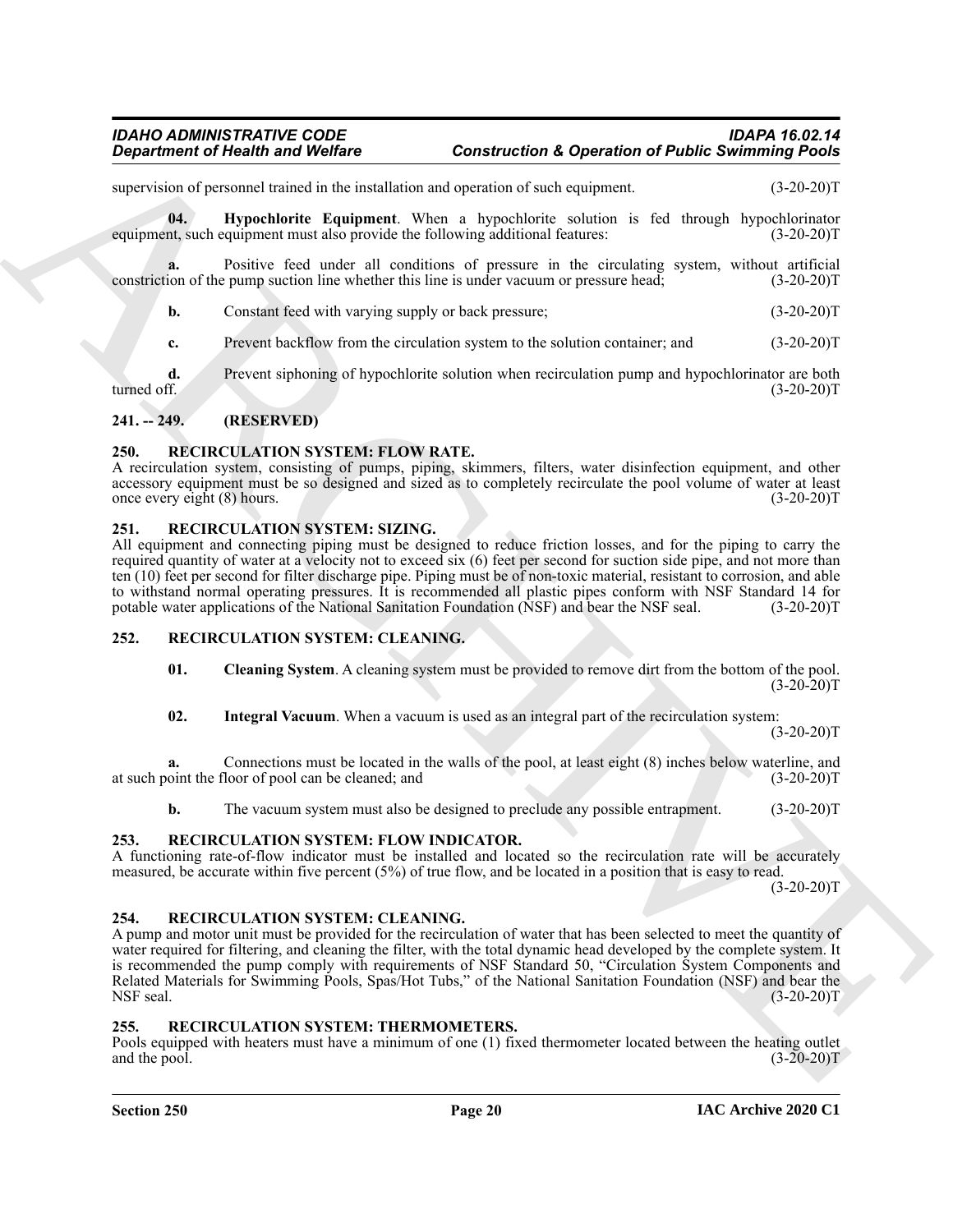supervision of personnel trained in the installation and operation of such equipment. (3-20-20)T

<span id="page-19-7"></span>**04. Hypochlorite Equipment**. When a hypochlorite solution is fed through hypochlorinator nt, such equipment must also provide the following additional features: (3-20-200) equipment, such equipment must also provide the following additional features:

**a.** Positive feed under all conditions of pressure in the circulating system, without artificial ion of the pump suction line whether this line is under vacuum or pressure head; (3-20-20) constriction of the pump suction line whether this line is under vacuum or pressure head;

**b.** Constant feed with varying supply or back pressure; (3-20-20)T

**c.** Prevent backflow from the circulation system to the solution container; and (3-20-20)T

**d.** Prevent siphoning of hypochlorite solution when recirculation pump and hypochlorinator are both turned off. (3-20-20) turned off. (3-20-20)T

#### <span id="page-19-0"></span>**241. -- 249. (RESERVED)**

#### <span id="page-19-12"></span><span id="page-19-1"></span>**250. RECIRCULATION SYSTEM: FLOW RATE.**

A recirculation system, consisting of pumps, piping, skimmers, filters, water disinfection equipment, and other accessory equipment must be so designed and sized as to completely recirculate the pool volume of water at least once every eight (8) hours. (3-20-20)T

#### <span id="page-19-13"></span><span id="page-19-2"></span>**251. RECIRCULATION SYSTEM: SIZING.**

All equipment and connecting piping must be designed to reduce friction losses, and for the piping to carry the required quantity of water at a velocity not to exceed six (6) feet per second for suction side pipe, and not more than ten (10) feet per second for filter discharge pipe. Piping must be of non-toxic material, resistant to corrosion, and able to withstand normal operating pressures. It is recommended all plastic pipes conform with NSF Standard 14 for potable water applications of the National Sanitation Foundation (NSF) and bear the NSF seal. (3-20-20)T potable water applications of the National Sanitation Foundation (NSF) and bear the NSF seal.

#### <span id="page-19-3"></span>**252. RECIRCULATION SYSTEM: CLEANING.**

- <span id="page-19-9"></span><span id="page-19-8"></span>**01. Cleaning System**. A cleaning system must be provided to remove dirt from the bottom of the pool.  $(3-20-20)T$
- <span id="page-19-10"></span>**02. Integral Vacuum**. When a vacuum is used as an integral part of the recirculation system:

 $(3-20-20)T$ 

**a.** Connections must be located in the walls of the pool, at least eight (8) inches below waterline, and at such point the floor of pool can be cleaned; and (3-20-20)T

<span id="page-19-11"></span>**b.** The vacuum system must also be designed to preclude any possible entrapment. (3-20-20)T

#### <span id="page-19-4"></span>**253. RECIRCULATION SYSTEM: FLOW INDICATOR.**

A functioning rate-of-flow indicator must be installed and located so the recirculation rate will be accurately measured, be accurate within five percent (5%) of true flow, and be located in a position that is easy to read.

 $(3-20-20)T$ 

#### <span id="page-19-5"></span>**254. RECIRCULATION SYSTEM: CLEANING.**

**Equation of Nearly were Vertex to Construction A Operation of Public Summing Pools<br>
supervisor of Public summation of the construction A Section of Public Summary<br>
supervisor of the construction of the construction of th** A pump and motor unit must be provided for the recirculation of water that has been selected to meet the quantity of water required for filtering, and cleaning the filter, with the total dynamic head developed by the complete system. It is recommended the pump comply with requirements of NSF Standard 50, "Circulation System Components and Related Materials for Swimming Pools, Spas/Hot Tubs," of the National Sanitation Foundation (NSF) and bear the<br>NSF seal. (3-20-20)T NSF seal. (3-20-20)T

#### <span id="page-19-14"></span><span id="page-19-6"></span>**255. RECIRCULATION SYSTEM: THERMOMETERS.**

Pools equipped with heaters must have a minimum of one (1) fixed thermometer located between the heating outlet and the pool. (3-20-20)T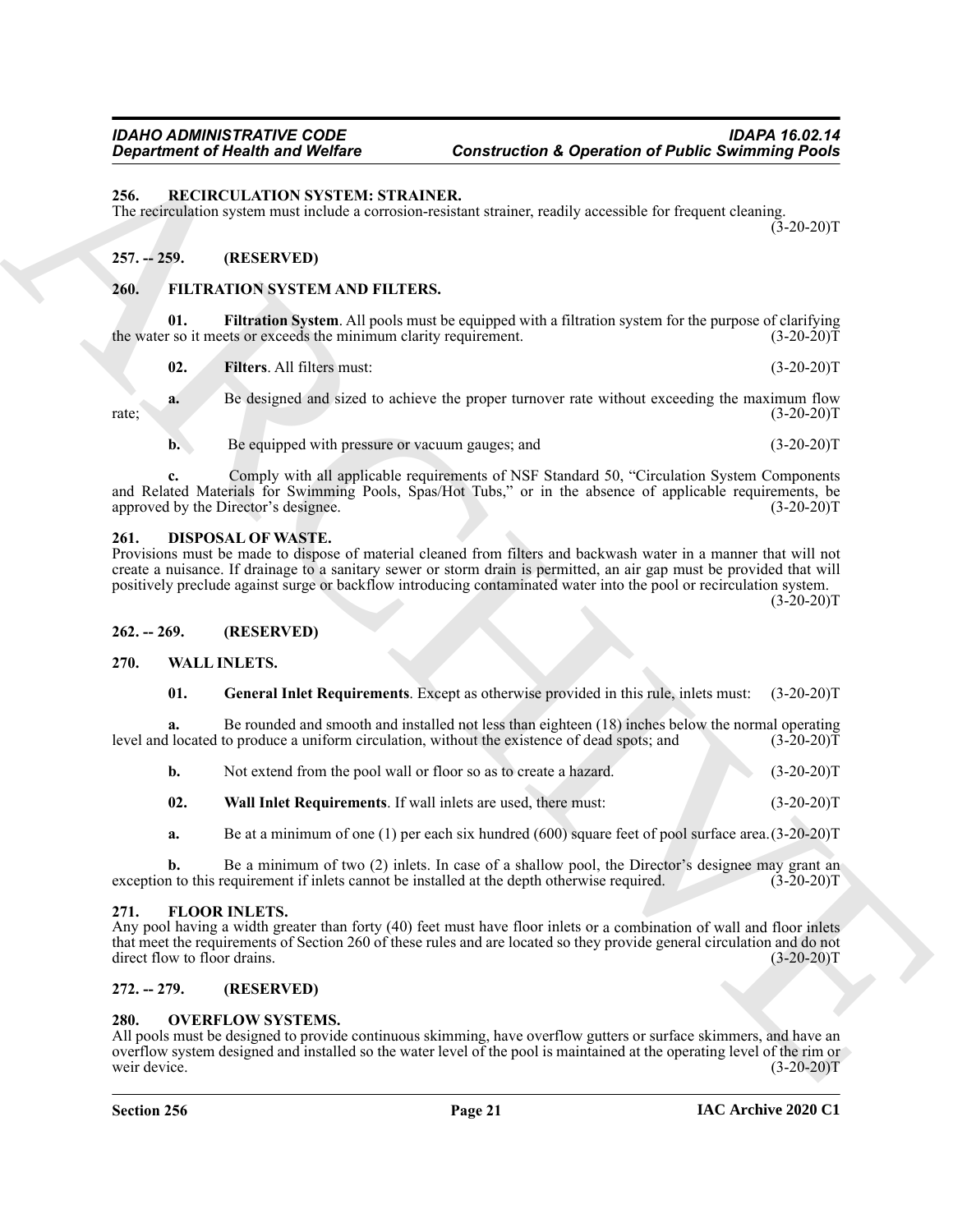#### <span id="page-20-15"></span><span id="page-20-0"></span>**256. RECIRCULATION SYSTEM: STRAINER.**

The recirculation system must include a corrosion-resistant strainer, readily accessible for frequent cleaning.  $(3-20-20)T$ 

#### <span id="page-20-1"></span>**257. -- 259. (RESERVED)**

#### <span id="page-20-10"></span><span id="page-20-2"></span>**260. FILTRATION SYSTEM AND FILTERS.**

<span id="page-20-12"></span>Filtration System. All pools must be equipped with a filtration system for the purpose of clarifying the water so it meets or exceeds the minimum clarity requirement. (3-20-20)T

**Equation of Health was Welfare**<br>
Society and Welfare<br>
16. **Example 18.** The strained Welfare<br>
16. **Example 18.** The strained and the strained and the strained and the strained and the strained and the strained and the st **02. Filters**. All filters must: (3-20-20)T **a.** Be designed and sized to achieve the proper turnover rate without exceeding the maximum flow rate; (3-20-20)T

<span id="page-20-11"></span>**b.** Be equipped with pressure or vacuum gauges; and  $(3-20-20)T$ 

**c.** Comply with all applicable requirements of NSF Standard 50, "Circulation System Components and Related Materials for Swimming Pools, Spas/Hot Tubs," or in the absence of applicable requirements, be approved by the Director's designee. (3-20-20) approved by the Director's designee.

#### <span id="page-20-9"></span><span id="page-20-3"></span>**261. DISPOSAL OF WASTE.**

Provisions must be made to dispose of material cleaned from filters and backwash water in a manner that will not create a nuisance. If drainage to a sanitary sewer or storm drain is permitted, an air gap must be provided that will positively preclude against surge or backflow introducing contaminated water into the pool or recirculation system.

 $(3-20-20)T$ 

#### <span id="page-20-4"></span>**262. -- 269. (RESERVED)**

#### <span id="page-20-5"></span>**270. WALL INLETS.**

### <span id="page-20-17"></span><span id="page-20-16"></span>**01. General Inlet Requirements**. Except as otherwise provided in this rule, inlets must: (3-20-20)T

**a.** Be rounded and smooth and installed not less than eighteen (18) inches below the normal operating located to produce a uniform circulation, without the existence of dead spots; and (3-20-20)<sup>T</sup> level and located to produce a uniform circulation, without the existence of dead spots; and

**b.** Not extend from the pool wall or floor so as to create a hazard. (3-20-20)T

<span id="page-20-18"></span>**02. Wall Inlet Requirements**. If wall inlets are used, there must: (3-20-20)T

**a.** Be at a minimum of one (1) per each six hundred (600) square feet of pool surface area.(3-20-20)T

**b.** Be a minimum of two (2) inlets. In case of a shallow pool, the Director's designee may grant an n to this requirement if inlets cannot be installed at the depth otherwise required. (3-20-20)<sup>T</sup> exception to this requirement if inlets cannot be installed at the depth otherwise required.

#### <span id="page-20-13"></span><span id="page-20-6"></span>**271. FLOOR INLETS.**

Any pool having a width greater than forty (40) feet must have floor inlets or a combination of wall and floor inlets that meet the requirements of Section 260 of these rules and are located so they provide general circulation and do not direct flow to floor drains. (3-20-20)T direct flow to floor drains.

#### <span id="page-20-7"></span>**272. -- 279. (RESERVED)**

#### <span id="page-20-14"></span><span id="page-20-8"></span>**280. OVERFLOW SYSTEMS.**

All pools must be designed to provide continuous skimming, have overflow gutters or surface skimmers, and have an overflow system designed and installed so the water level of the pool is maintained at the operating level of the rim or weir device. (3-20-20)T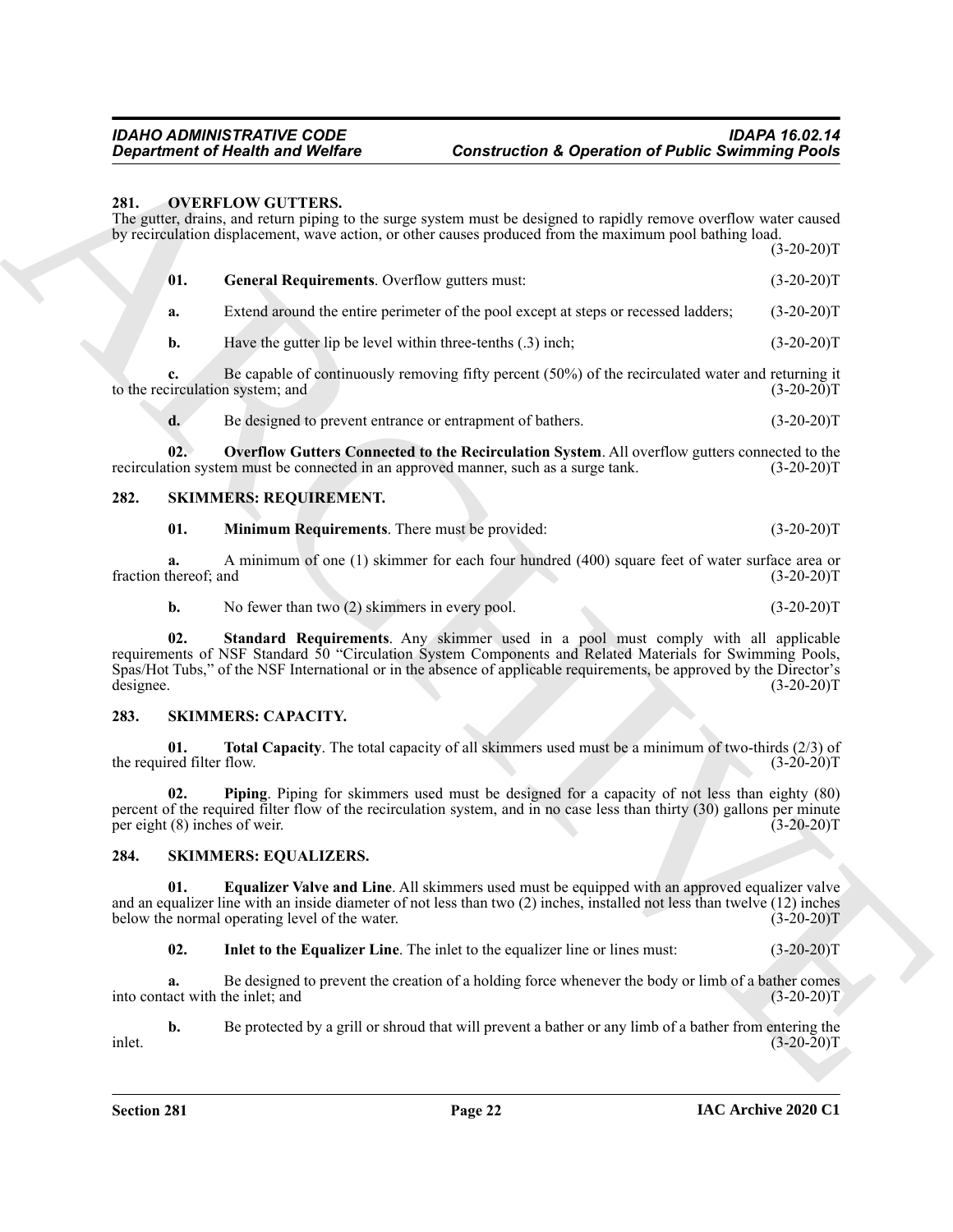#### <span id="page-21-5"></span><span id="page-21-4"></span><span id="page-21-0"></span>**281. OVERFLOW GUTTERS.**

| 281.                                                                                                                                         | <b>OVERFLOW GUTTERS.</b>                                                                   | The gutter, drains, and return piping to the surge system must be designed to rapidly remove overflow water caused<br>by recirculation displacement, wave action, or other causes produced from the maximum pool bathing load.                                                                                        | $(3-20-20)T$ |  |
|----------------------------------------------------------------------------------------------------------------------------------------------|--------------------------------------------------------------------------------------------|-----------------------------------------------------------------------------------------------------------------------------------------------------------------------------------------------------------------------------------------------------------------------------------------------------------------------|--------------|--|
|                                                                                                                                              | 01.<br>General Requirements. Overflow gutters must:                                        |                                                                                                                                                                                                                                                                                                                       | $(3-20-20)T$ |  |
|                                                                                                                                              | a.                                                                                         | Extend around the entire perimeter of the pool except at steps or recessed ladders;                                                                                                                                                                                                                                   | $(3-20-20)T$ |  |
|                                                                                                                                              | Have the gutter lip be level within three-tenths $(0.3)$ inch;<br>$\mathbf{b}$ .           |                                                                                                                                                                                                                                                                                                                       | $(3-20-20)T$ |  |
|                                                                                                                                              | c.<br>to the recirculation system; and                                                     | Be capable of continuously removing fifty percent $(50\%)$ of the recirculated water and returning it                                                                                                                                                                                                                 | $(3-20-20)T$ |  |
|                                                                                                                                              | Be designed to prevent entrance or entrapment of bathers.<br>d.                            |                                                                                                                                                                                                                                                                                                                       | $(3-20-20)T$ |  |
|                                                                                                                                              | 02.<br>recirculation system must be connected in an approved manner, such as a surge tank. | Overflow Gutters Connected to the Recirculation System. All overflow gutters connected to the                                                                                                                                                                                                                         | $(3-20-20)T$ |  |
| 282.<br><b>SKIMMERS: REQUIREMENT.</b>                                                                                                        |                                                                                            |                                                                                                                                                                                                                                                                                                                       |              |  |
|                                                                                                                                              | 01.<br>Minimum Requirements. There must be provided:                                       |                                                                                                                                                                                                                                                                                                                       | $(3-20-20)T$ |  |
| A minimum of one (1) skimmer for each four hundred (400) square feet of water surface area or<br>a.<br>fraction thereof; and<br>$(3-20-20)T$ |                                                                                            |                                                                                                                                                                                                                                                                                                                       |              |  |
|                                                                                                                                              | $\mathbf{b}$ .<br>No fewer than two $(2)$ skimmers in every pool.                          |                                                                                                                                                                                                                                                                                                                       | $(3-20-20)T$ |  |
| designee.                                                                                                                                    | 02.                                                                                        | Standard Requirements. Any skimmer used in a pool must comply with all applicable<br>requirements of NSF Standard 50 "Circulation System Components and Related Materials for Swimming Pools,<br>Spas/Hot Tubs," of the NSF International or in the absence of applicable requirements, be approved by the Director's | $(3-20-20)T$ |  |
| 283.                                                                                                                                         | <b>SKIMMERS: CAPACITY.</b>                                                                 |                                                                                                                                                                                                                                                                                                                       |              |  |
|                                                                                                                                              | 01.<br>the required filter flow.                                                           | <b>Total Capacity</b> . The total capacity of all skimmers used must be a minimum of two-thirds $(2/3)$ of                                                                                                                                                                                                            | $(3-20-20)T$ |  |
|                                                                                                                                              | 02.<br>per eight (8) inches of weir.                                                       | Piping. Piping for skimmers used must be designed for a capacity of not less than eighty (80)<br>percent of the required filter flow of the recirculation system, and in no case less than thirty (30) gallons per minute                                                                                             | $(3-20-20)T$ |  |
| 284.                                                                                                                                         | <b>SKIMMERS: EQUALIZERS.</b>                                                               |                                                                                                                                                                                                                                                                                                                       |              |  |
|                                                                                                                                              | 01.<br>below the normal operating level of the water.                                      | Equalizer Valve and Line. All skimmers used must be equipped with an approved equalizer valve<br>and an equalizer line with an inside diameter of not less than two $(2)$ inches, installed not less than twelve $(12)$ inches                                                                                        | $(3-20-20)T$ |  |
|                                                                                                                                              | 02.                                                                                        | Inlet to the Equalizer Line. The inlet to the equalizer line or lines must:                                                                                                                                                                                                                                           | $(3-20-20)T$ |  |
|                                                                                                                                              | a.<br>into contact with the inlet; and                                                     | Be designed to prevent the creation of a holding force whenever the body or limb of a bather comes                                                                                                                                                                                                                    | $(3-20-20)T$ |  |
| inlet.                                                                                                                                       | b.                                                                                         | Be protected by a grill or shroud that will prevent a bather or any limb of a bather from entering the                                                                                                                                                                                                                | $(3-20-20)T$ |  |

#### <span id="page-21-14"></span><span id="page-21-13"></span><span id="page-21-6"></span><span id="page-21-1"></span>**282. SKIMMERS: REQUIREMENT.**

#### <span id="page-21-15"></span><span id="page-21-9"></span><span id="page-21-8"></span><span id="page-21-7"></span><span id="page-21-2"></span>**283. SKIMMERS: CAPACITY.**

#### <span id="page-21-12"></span><span id="page-21-11"></span><span id="page-21-10"></span><span id="page-21-3"></span>**284. SKIMMERS: EQUALIZERS.**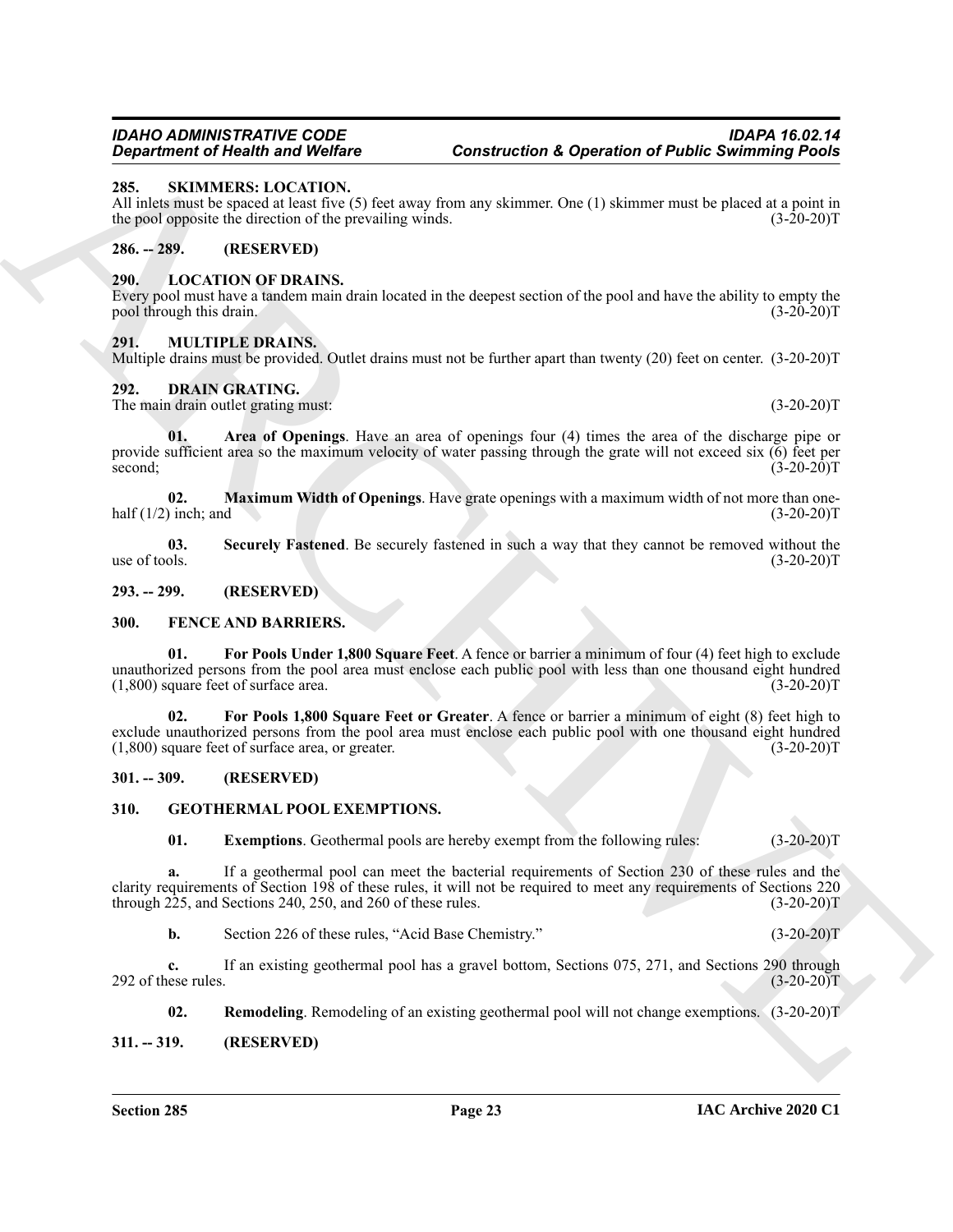### <span id="page-22-22"></span><span id="page-22-0"></span>**285. SKIMMERS: LOCATION.**

All inlets must be spaced at least five (5) feet away from any skimmer. One (1) skimmer must be placed at a point in the pool opposite the direction of the prevailing winds. (3-20-20)T

#### <span id="page-22-1"></span>**286. -- 289. (RESERVED)**

#### <span id="page-22-20"></span><span id="page-22-2"></span>**290. LOCATION OF DRAINS.**

Every pool must have a tandem main drain located in the deepest section of the pool and have the ability to empty the pool through this drain. (3-20-20)T

#### <span id="page-22-21"></span><span id="page-22-3"></span>**291. MULTIPLE DRAINS.**

Multiple drains must be provided. Outlet drains must not be further apart than twenty (20) feet on center. (3-20-20)T

#### <span id="page-22-10"></span><span id="page-22-4"></span>**292. DRAIN GRATING.**

<span id="page-22-11"></span>The main drain outlet grating must: (3-20-20)T

**Experimental Results and Welfare<br>
28. SALVANUALES: LOCATION.**<br>
28. SALVANUALES: LOCATION (2)<br>
All and most be specified with the specified with the specified with the specified with the specified value of the prescript w **01. Area of Openings**. Have an area of openings four (4) times the area of the discharge pipe or provide sufficient area so the maximum velocity of water passing through the grate will not exceed six (6) feet per second;  $(3-20-20)T$ 

<span id="page-22-12"></span>**02.** Maximum Width of Openings. Have grate openings with a maximum width of not more than one-<br>inch; and (3-20-20)T half  $(1/2)$  inch; and

<span id="page-22-13"></span>**03.** Securely Fastened. Be securely fastened in such a way that they cannot be removed without the use of tools.  $(3-20-20)T$ use of tools.  $(3-20-20)T$ 

<span id="page-22-5"></span>**293. -- 299. (RESERVED)**

#### <span id="page-22-14"></span><span id="page-22-6"></span>**300. FENCE AND BARRIERS.**

<span id="page-22-16"></span>**01. For Pools Under 1,800 Square Feet**. A fence or barrier a minimum of four (4) feet high to exclude unauthorized persons from the pool area must enclose each public pool with less than one thousand eight hundred (1,800) square feet of surface area. (3-20-20)T

<span id="page-22-15"></span>**02. For Pools 1,800 Square Feet or Greater**. A fence or barrier a minimum of eight (8) feet high to exclude unauthorized persons from the pool area must enclose each public pool with one thousand eight hundred (1,800) square feet of surface area, or greater. (3-20-20)  $(1,800)$  square feet of surface area, or greater.

#### <span id="page-22-7"></span>**301. -- 309. (RESERVED)**

#### <span id="page-22-8"></span>**310. GEOTHERMAL POOL EXEMPTIONS.**

<span id="page-22-18"></span><span id="page-22-17"></span>**01. Exemptions**. Geothermal pools are hereby exempt from the following rules: (3-20-20)T

**a.** If a geothermal pool can meet the bacterial requirements of Section 230 of these rules and the clarity requirements of Section 198 of these rules, it will not be required to meet any requirements of Sections 220 through 225, and Sections 240, 250, and 260 of these rules. (3-20-20)T

**b.** Section 226 of these rules, "Acid Base Chemistry." (3-20-20)T

**c.** If an existing geothermal pool has a gravel bottom, Sections 075, 271, and Sections 290 through 292 of these rules.  $(3-20-20)T$ 

<span id="page-22-19"></span>**02. Remodeling**. Remodeling of an existing geothermal pool will not change exemptions. (3-20-20)T

#### <span id="page-22-9"></span>**311. -- 319. (RESERVED)**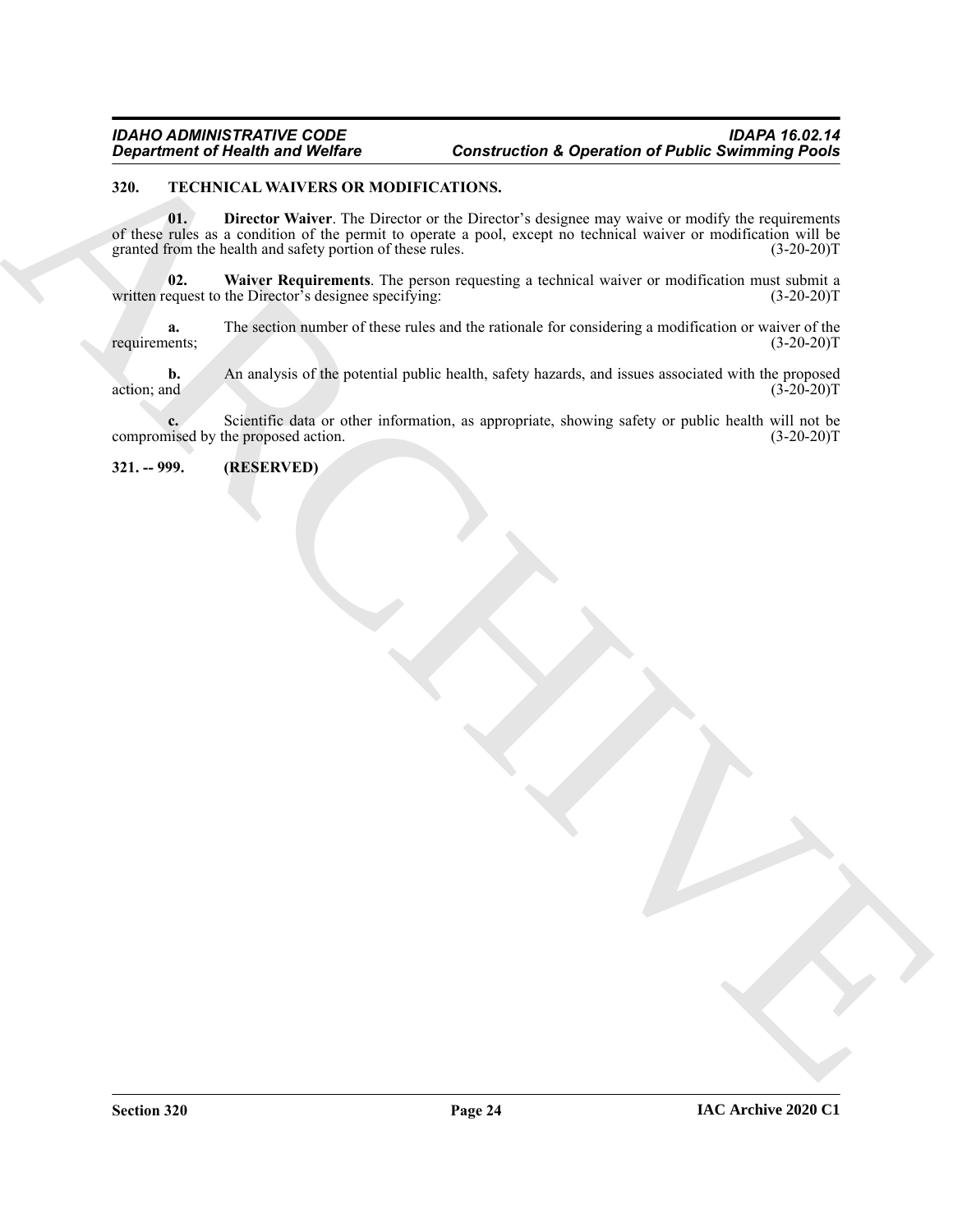#### <span id="page-23-3"></span><span id="page-23-2"></span><span id="page-23-0"></span>**320. TECHNICAL WAIVERS OR MODIFICATIONS.**

Generation of Newton Works on ARCHIVER Construction & Operation of Public Summing Points<br>
SULLAR IN THE SULLAR VALUE IS the state of the Public of the Public Summary of the Summary of the Summary of<br>
SULLAR IN THE SULLAR **01. Director Waiver**. The Director or the Director's designee may waive or modify the requirements of these rules as a condition of the permit to operate a pool, except no technical waiver or modification will be granted from the health and safety portion of these rules. (3-20-20)<sup>T</sup> granted from the health and safety portion of these rules.

<span id="page-23-4"></span>**02.** Waiver Requirements. The person requesting a technical waiver or modification must submit a equest to the Director's designee specifying: (3-20-20) written request to the Director's designee specifying:

**a.** The section number of these rules and the rationale for considering a modification or waiver of the ents; (3-20-20) requirements;

**b.** An analysis of the potential public health, safety hazards, and issues associated with the proposed action; and  $(3-20-20)$ T

**c.** Scientific data or other information, as appropriate, showing safety or public health will not be nised by the proposed action.  $(3-20-20)T$ compromised by the proposed action.

<span id="page-23-1"></span>**321. -- 999. (RESERVED)**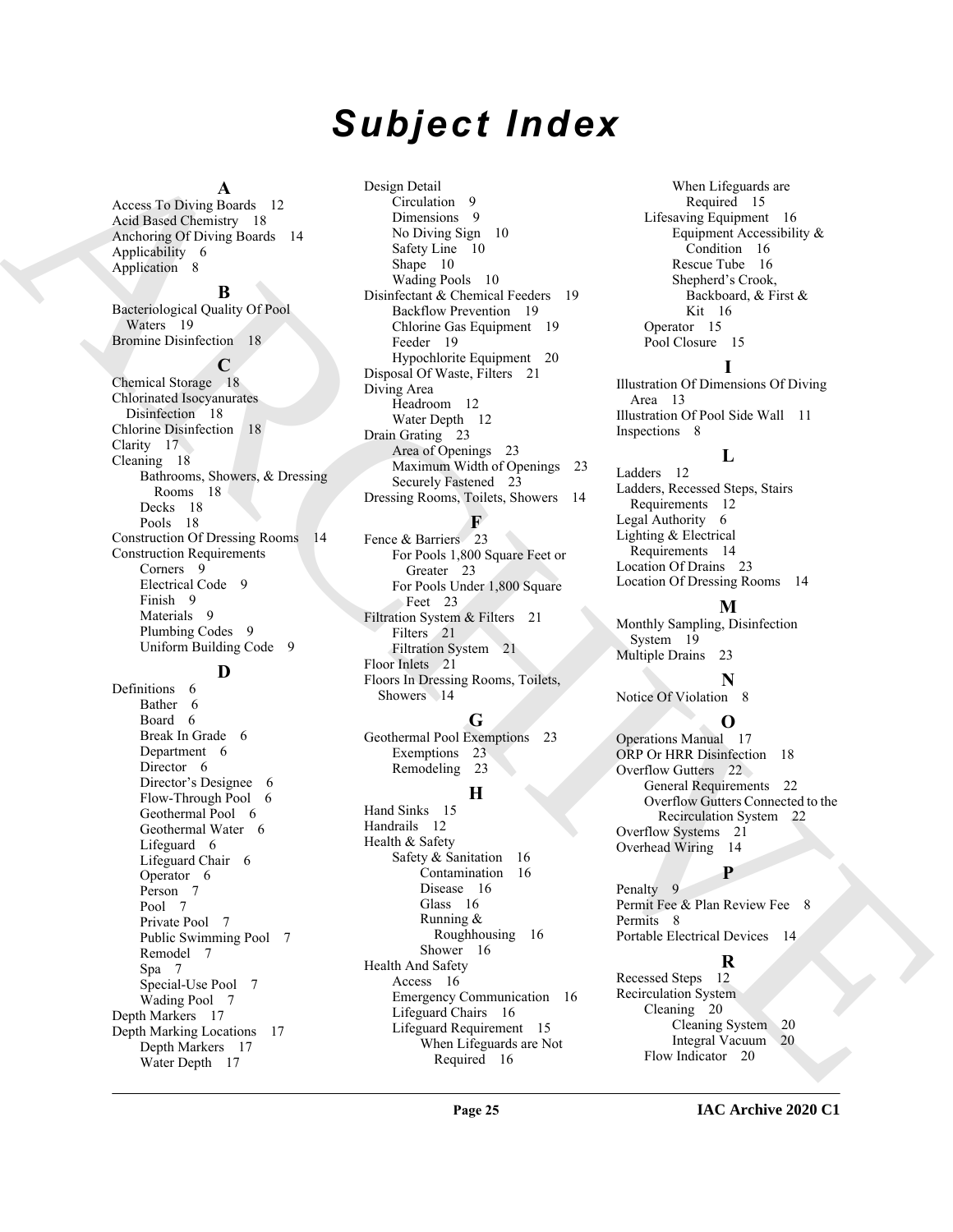# *Subject Index*

#### **A**

Access To Diving Boards 12 Acid Based Chemistry 18 Anchoring Of Diving Boards 14 Applicability 6 Application 8

#### **B**

Archives (A) (a)  $\frac{1}{2}$  (a)  $\frac{1}{2}$  (b)  $\frac{1}{2}$  (a)  $\frac{1}{2}$  (b)  $\frac{1}{2}$  (a)  $\frac{1}{2}$  (b)  $\frac{1}{2}$  (a)  $\frac{1}{2}$  (b)  $\frac{1}{2}$  (b)  $\frac{1}{2}$  (b)  $\frac{1}{2}$  (b)  $\frac{1}{2}$  (b)  $\frac{1}{2}$  (b)  $\frac{1}{2}$  (b)  $\frac{1}{2}$ Bacteriological Quality Of Pool Waters 19 Bromine Disinfection 18 **C** Chemical Storage 18 Chlorinated Isocyanurates Disinfection 18 Chlorine Disinfection 18 Clarity 17 Cleaning 18 Bathrooms, Showers, & Dressing Rooms 18 Decks 18 Pools 18 Construction Of Dressing Rooms 14 Construction Requirements Corners 9 Electrical Code 9 Finish 9 Materials 9 Plumbing Codes 9 Uniform Building Code 9

## **D**

Definitions 6 Bather 6 Board 6 Break In Grade 6 Department 6 Director 6 Director's Designee 6 Flow-Through Pool 6 Geothermal Pool 6 Geothermal Water 6 Lifeguard 6 Lifeguard Chair 6 Operator 6 Person 7 Pool 7 Private Pool 7 Public Swimming Pool 7 Remodel 7 Spa 7 Special-Use Pool 7 Wading Pool 7 Depth Markers 17 Depth Marking Locations 17 Depth Markers 17 Water Depth 17

Design Detail Circulation 9 Dimensions 9 No Diving Sign 10 Safety Line 10 Shape 10 Wading Pools 10 Disinfectant & Chemical Feeders 19 Backflow Prevention 19 Chlorine Gas Equipment 19 Feeder 19 Hypochlorite Equipment 20 Disposal Of Waste, Filters 21 Diving Area Headroom 12 Water Depth 12 Drain Grating 23 Area of Openings 23 Maximum Width of Openings 23 Securely Fastened 23 Dressing Rooms, Toilets, Showers 14

#### **F**

Fence & Barriers 23 For Pools 1,800 Square Feet or Greater 23 For Pools Under 1,800 Square Feet 23 Filtration System & Filters 21 Filters 21 Filtration System 21 Floor Inlets 21 Floors In Dressing Rooms, Toilets, Showers 14

#### **G**

Geothermal Pool Exemptions 23 Exemptions 23 Remodeling 23

### **H**

Hand Sinks 15 Handrails 12 Health & Safety Safety & Sanitation 16 Contamination 16 Disease 16 Glass 16 Running & Roughhousing 16 Shower 16 Health And Safety Access 16 Emergency Communication 16 Lifeguard Chairs 16 Lifeguard Requirement 15 When Lifeguards are Not Required 16

When Lifeguards are Required 15 Lifesaving Equipment 16 Equipment Accessibility & Condition 16 Rescue Tube 16 Shepherd's Crook, Backboard, & First & Kit 16 Operator 15 Pool Closure 15

### **I**

Illustration Of Dimensions Of Diving Area 13 Illustration Of Pool Side Wall 11 Inspections 8

# **L**

Ladders 12 Ladders, Recessed Steps, Stairs Requirements 12 Legal Authority 6 Lighting & Electrical Requirements 14 Location Of Drains 23 Location Of Dressing Rooms 14

### **M**

Monthly Sampling, Disinfection System 19 Multiple Drains 23

# **N**

Notice Of Violation 8

### **O**

Operations Manual 17 ORP Or HRR Disinfection 18 Overflow Gutters 22 General Requirements 22 Overflow Gutters Connected to the Recirculation System 22 Overflow Systems 21 Overhead Wiring 14

**P**

Penalty 9 Permit Fee & Plan Review Fee 8 Permits 8 Portable Electrical Devices 14

# **R**

Recessed Steps 12 Recirculation System Cleaning 20 Cleaning System 20 Integral Vacuum 20 Flow Indicator 20